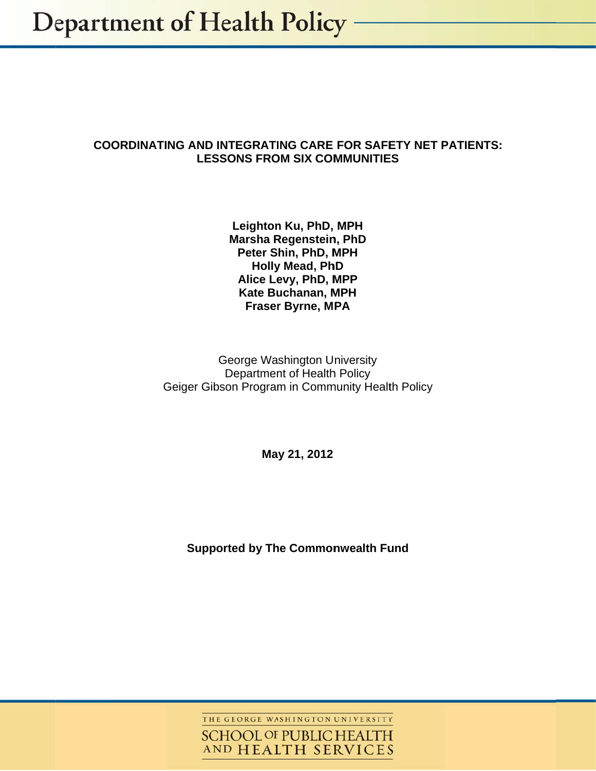## **COORDINATI NG AND IN NTEGRATI ING CARE FOR SAFE ETY NET P PATIENTS:**LESSONS FROM SIX COMMUNITIES

Leighton Ku, PhD, MPH **Marsha R Regenstein n, PhD Peter S hin, PhD, M MPH Holly y Mead, Ph hD Alice Le evy, PhD, M MPP Kate Bu uchanan, M MPH Fraser Byrne, MPA** 

Geiger Gibson Program in Community Health Policy G George Wa shington U niversity Department of Health Policy

**Ma y 21, 2012** 

**Supported by The Commonwealth Fund** 

THE GEORGE WASHINGTON UNIVERSITY **SCHOOL OF PUBLIC HEALTH** AND HEALTH SERVICES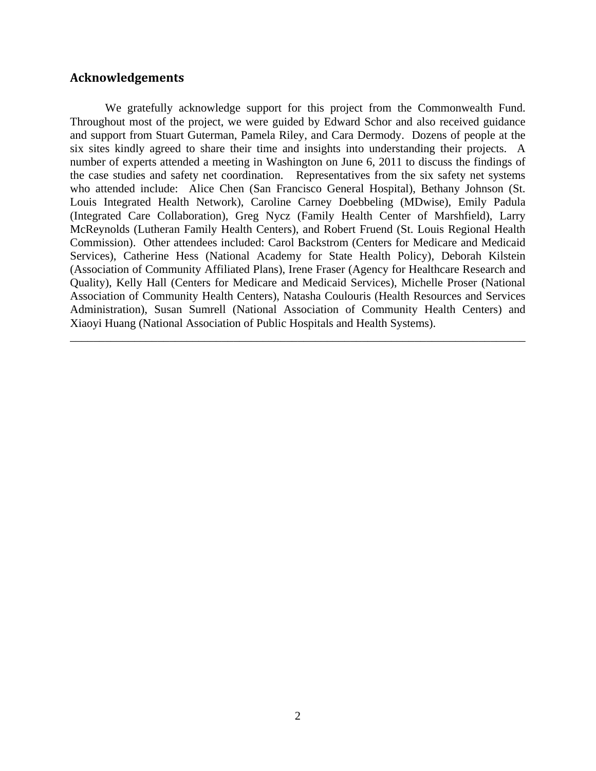## **Acknowledgements**

 We gratefully acknowledge support for this project from the Commonwealth Fund. Throughout most of the project, we were guided by Edward Schor and also received guidance and support from Stuart Guterman, Pamela Riley, and Cara Dermody. Dozens of people at the six sites kindly agreed to share their time and insights into understanding their projects. A number of experts attended a meeting in Washington on June 6, 2011 to discuss the findings of the case studies and safety net coordination. Representatives from the six safety net systems who attended include: Alice Chen (San Francisco General Hospital), Bethany Johnson (St. Louis Integrated Health Network), Caroline Carney Doebbeling (MDwise), Emily Padula (Integrated Care Collaboration), Greg Nycz (Family Health Center of Marshfield), Larry McReynolds (Lutheran Family Health Centers), and Robert Fruend (St. Louis Regional Health Commission). Other attendees included: Carol Backstrom (Centers for Medicare and Medicaid Services), Catherine Hess (National Academy for State Health Policy), Deborah Kilstein (Association of Community Affiliated Plans), Irene Fraser (Agency for Healthcare Research and Quality), Kelly Hall (Centers for Medicare and Medicaid Services), Michelle Proser (National Association of Community Health Centers), Natasha Coulouris (Health Resources and Services Administration), Susan Sumrell (National Association of Community Health Centers) and Xiaoyi Huang (National Association of Public Hospitals and Health Systems).

\_\_\_\_\_\_\_\_\_\_\_\_\_\_\_\_\_\_\_\_\_\_\_\_\_\_\_\_\_\_\_\_\_\_\_\_\_\_\_\_\_\_\_\_\_\_\_\_\_\_\_\_\_\_\_\_\_\_\_\_\_\_\_\_\_\_\_\_\_\_\_\_\_\_\_\_\_\_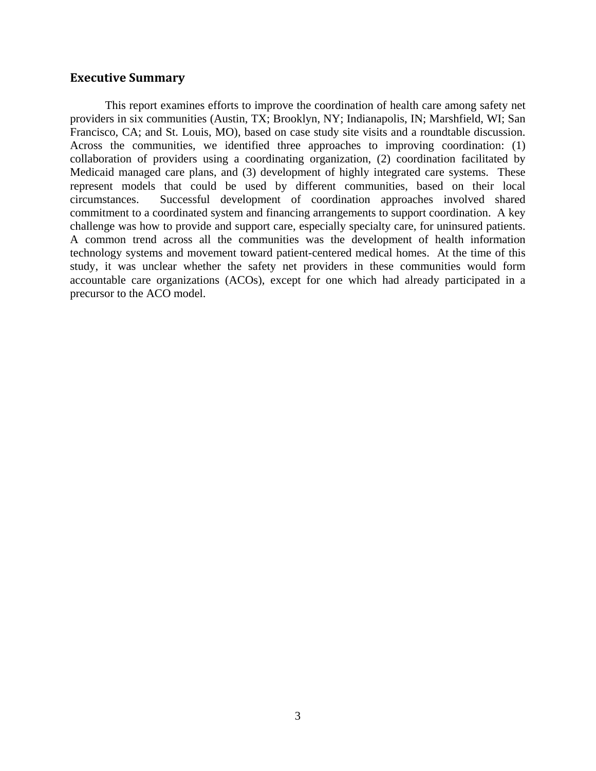#### **Executive Summary**

This report examines efforts to improve the coordination of health care among safety net providers in six communities (Austin, TX; Brooklyn, NY; Indianapolis, IN; Marshfield, WI; San Francisco, CA; and St. Louis, MO), based on case study site visits and a roundtable discussion. Across the communities, we identified three approaches to improving coordination: (1) collaboration of providers using a coordinating organization, (2) coordination facilitated by Medicaid managed care plans, and (3) development of highly integrated care systems. These represent models that could be used by different communities, based on their local circumstances. Successful development of coordination approaches involved shared commitment to a coordinated system and financing arrangements to support coordination. A key challenge was how to provide and support care, especially specialty care, for uninsured patients. A common trend across all the communities was the development of health information technology systems and movement toward patient-centered medical homes. At the time of this study, it was unclear whether the safety net providers in these communities would form accountable care organizations (ACOs), except for one which had already participated in a precursor to the ACO model.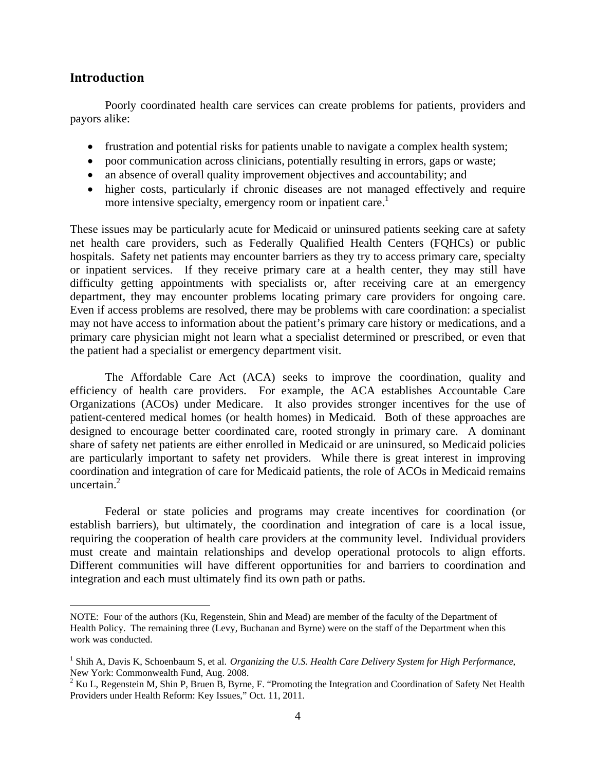#### **Introduction**

1

 Poorly coordinated health care services can create problems for patients, providers and payors alike:

- frustration and potential risks for patients unable to navigate a complex health system;
- poor communication across clinicians, potentially resulting in errors, gaps or waste;
- an absence of overall quality improvement objectives and accountability; and
- higher costs, particularly if chronic diseases are not managed effectively and require more intensive specialty, emergency room or inpatient care.<sup>1</sup>

These issues may be particularly acute for Medicaid or uninsured patients seeking care at safety net health care providers, such as Federally Qualified Health Centers (FQHCs) or public hospitals. Safety net patients may encounter barriers as they try to access primary care, specialty or inpatient services. If they receive primary care at a health center, they may still have difficulty getting appointments with specialists or, after receiving care at an emergency department, they may encounter problems locating primary care providers for ongoing care. Even if access problems are resolved, there may be problems with care coordination: a specialist may not have access to information about the patient's primary care history or medications, and a primary care physician might not learn what a specialist determined or prescribed, or even that the patient had a specialist or emergency department visit.

 The Affordable Care Act (ACA) seeks to improve the coordination, quality and efficiency of health care providers. For example, the ACA establishes Accountable Care Organizations (ACOs) under Medicare. It also provides stronger incentives for the use of patient-centered medical homes (or health homes) in Medicaid. Both of these approaches are designed to encourage better coordinated care, rooted strongly in primary care. A dominant share of safety net patients are either enrolled in Medicaid or are uninsured, so Medicaid policies are particularly important to safety net providers. While there is great interest in improving coordination and integration of care for Medicaid patients, the role of ACOs in Medicaid remains uncertain. $2$ 

 Federal or state policies and programs may create incentives for coordination (or establish barriers), but ultimately, the coordination and integration of care is a local issue, requiring the cooperation of health care providers at the community level. Individual providers must create and maintain relationships and develop operational protocols to align efforts. Different communities will have different opportunities for and barriers to coordination and integration and each must ultimately find its own path or paths.

NOTE: Four of the authors (Ku, Regenstein, Shin and Mead) are member of the faculty of the Department of Health Policy. The remaining three (Levy, Buchanan and Byrne) were on the staff of the Department when this work was conducted.

<sup>&</sup>lt;sup>1</sup> Shih A, Davis K, Schoenbaum S, et al. *Organizing the U.S. Health Care Delivery System for High Performance*, New York: Commonwealth Fund, Aug. 2008.

 $2 Ku$  L, Regenstein M, Shin P, Bruen B, Byrne, F. "Promoting the Integration and Coordination of Safety Net Health Providers under Health Reform: Key Issues," Oct. 11, 2011.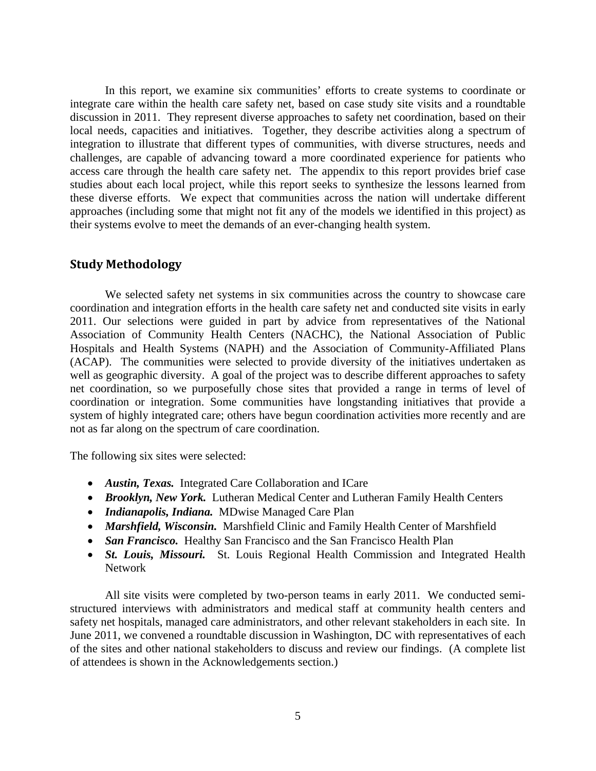In this report, we examine six communities' efforts to create systems to coordinate or integrate care within the health care safety net, based on case study site visits and a roundtable discussion in 2011. They represent diverse approaches to safety net coordination, based on their local needs, capacities and initiatives. Together, they describe activities along a spectrum of integration to illustrate that different types of communities, with diverse structures, needs and challenges, are capable of advancing toward a more coordinated experience for patients who access care through the health care safety net. The appendix to this report provides brief case studies about each local project, while this report seeks to synthesize the lessons learned from these diverse efforts. We expect that communities across the nation will undertake different approaches (including some that might not fit any of the models we identified in this project) as their systems evolve to meet the demands of an ever-changing health system.

## **Study Methodology**

We selected safety net systems in six communities across the country to showcase care coordination and integration efforts in the health care safety net and conducted site visits in early 2011. Our selections were guided in part by advice from representatives of the National Association of Community Health Centers (NACHC), the National Association of Public Hospitals and Health Systems (NAPH) and the Association of Community-Affiliated Plans (ACAP). The communities were selected to provide diversity of the initiatives undertaken as well as geographic diversity. A goal of the project was to describe different approaches to safety net coordination, so we purposefully chose sites that provided a range in terms of level of coordination or integration. Some communities have longstanding initiatives that provide a system of highly integrated care; others have begun coordination activities more recently and are not as far along on the spectrum of care coordination.

The following six sites were selected:

- *Austin, Texas.* Integrated Care Collaboration and ICare
- *Brooklyn, New York.* Lutheran Medical Center and Lutheran Family Health Centers
- *Indianapolis, Indiana.* MDwise Managed Care Plan
- *Marshfield, Wisconsin.* Marshfield Clinic and Family Health Center of Marshfield
- *San Francisco.* Healthy San Francisco and the San Francisco Health Plan
- *St. Louis, Missouri.* St. Louis Regional Health Commission and Integrated Health Network

All site visits were completed by two-person teams in early 2011. We conducted semistructured interviews with administrators and medical staff at community health centers and safety net hospitals, managed care administrators, and other relevant stakeholders in each site. In June 2011, we convened a roundtable discussion in Washington, DC with representatives of each of the sites and other national stakeholders to discuss and review our findings. (A complete list of attendees is shown in the Acknowledgements section.)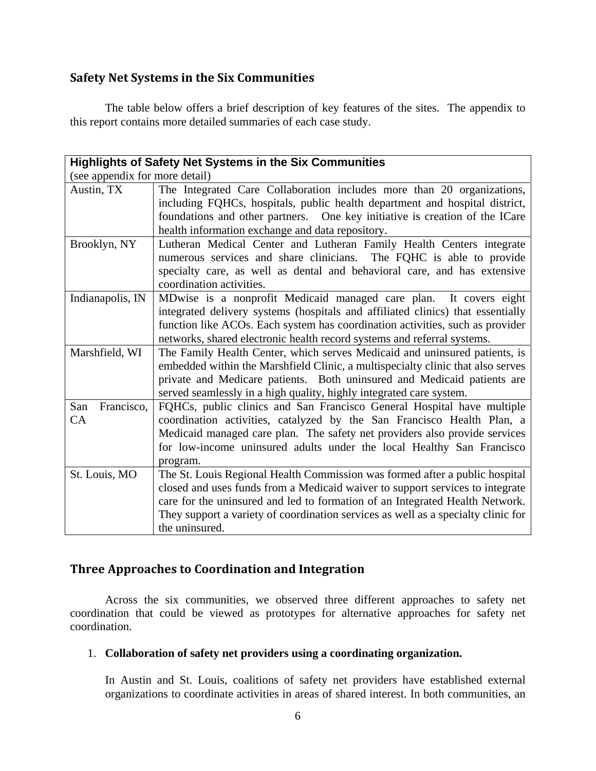## **Safety Net Systems in the Six Communities**

 The table below offers a brief description of key features of the sites. The appendix to this report contains more detailed summaries of each case study.

| <b>Highlights of Safety Net Systems in the Six Communities</b> |                                                                                                                                                                                                                                                                                                                                                     |  |  |
|----------------------------------------------------------------|-----------------------------------------------------------------------------------------------------------------------------------------------------------------------------------------------------------------------------------------------------------------------------------------------------------------------------------------------------|--|--|
| (see appendix for more detail)                                 |                                                                                                                                                                                                                                                                                                                                                     |  |  |
| Austin, TX                                                     | The Integrated Care Collaboration includes more than 20 organizations,<br>including FQHCs, hospitals, public health department and hospital district,<br>foundations and other partners.  One key initiative is creation of the ICare<br>health information exchange and data repository.                                                           |  |  |
| Brooklyn, NY                                                   | Lutheran Medical Center and Lutheran Family Health Centers integrate<br>numerous services and share clinicians. The FQHC is able to provide<br>specialty care, as well as dental and behavioral care, and has extensive<br>coordination activities.                                                                                                 |  |  |
| Indianapolis, IN                                               | MDwise is a nonprofit Medicaid managed care plan. It covers eight<br>integrated delivery systems (hospitals and affiliated clinics) that essentially<br>function like ACOs. Each system has coordination activities, such as provider<br>networks, shared electronic health record systems and referral systems.                                    |  |  |
| Marshfield, WI                                                 | The Family Health Center, which serves Medicaid and uninsured patients, is<br>embedded within the Marshfield Clinic, a multispecialty clinic that also serves<br>private and Medicare patients. Both uninsured and Medicaid patients are<br>served seamlessly in a high quality, highly integrated care system.                                     |  |  |
| San<br>Francisco,<br>CA                                        | FQHCs, public clinics and San Francisco General Hospital have multiple<br>coordination activities, catalyzed by the San Francisco Health Plan, a<br>Medicaid managed care plan. The safety net providers also provide services<br>for low-income uninsured adults under the local Healthy San Francisco<br>program.                                 |  |  |
| St. Louis, MO                                                  | The St. Louis Regional Health Commission was formed after a public hospital<br>closed and uses funds from a Medicaid waiver to support services to integrate<br>care for the uninsured and led to formation of an Integrated Health Network.<br>They support a variety of coordination services as well as a specialty clinic for<br>the uninsured. |  |  |

## **Three Approaches to Coordination and Integration**

Across the six communities, we observed three different approaches to safety net coordination that could be viewed as prototypes for alternative approaches for safety net coordination.

## 1. **Collaboration of safety net providers using a coordinating organization.**

In Austin and St. Louis, coalitions of safety net providers have established external organizations to coordinate activities in areas of shared interest. In both communities, an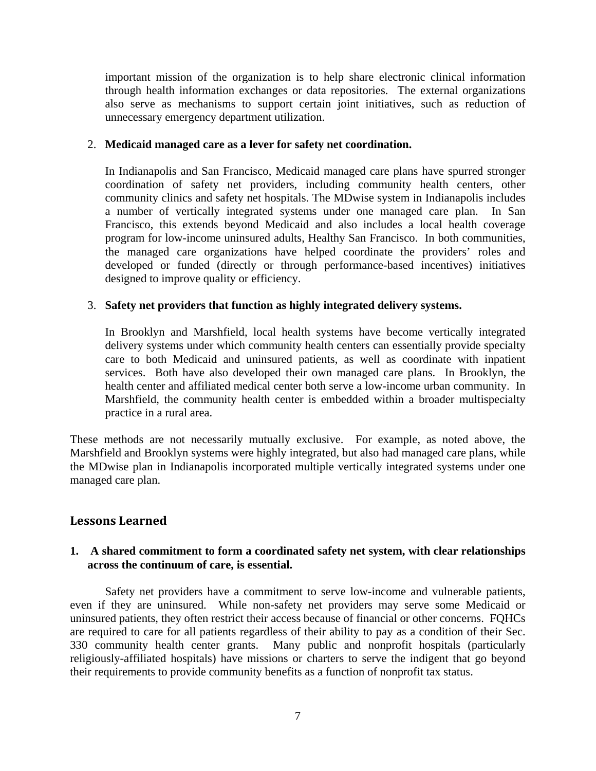important mission of the organization is to help share electronic clinical information through health information exchanges or data repositories. The external organizations also serve as mechanisms to support certain joint initiatives, such as reduction of unnecessary emergency department utilization.

#### 2. **Medicaid managed care as a lever for safety net coordination.**

In Indianapolis and San Francisco, Medicaid managed care plans have spurred stronger coordination of safety net providers, including community health centers, other community clinics and safety net hospitals. The MDwise system in Indianapolis includes a number of vertically integrated systems under one managed care plan. In San Francisco, this extends beyond Medicaid and also includes a local health coverage program for low-income uninsured adults, Healthy San Francisco. In both communities, the managed care organizations have helped coordinate the providers' roles and developed or funded (directly or through performance-based incentives) initiatives designed to improve quality or efficiency.

## 3. **Safety net providers that function as highly integrated delivery systems.**

In Brooklyn and Marshfield, local health systems have become vertically integrated delivery systems under which community health centers can essentially provide specialty care to both Medicaid and uninsured patients, as well as coordinate with inpatient services. Both have also developed their own managed care plans. In Brooklyn, the health center and affiliated medical center both serve a low-income urban community. In Marshfield, the community health center is embedded within a broader multispecialty practice in a rural area.

These methods are not necessarily mutually exclusive. For example, as noted above, the Marshfield and Brooklyn systems were highly integrated, but also had managed care plans, while the MDwise plan in Indianapolis incorporated multiple vertically integrated systems under one managed care plan.

## **Lessons Learned**

## **1. A shared commitment to form a coordinated safety net system, with clear relationships across the continuum of care, is essential.**

Safety net providers have a commitment to serve low-income and vulnerable patients, even if they are uninsured. While non-safety net providers may serve some Medicaid or uninsured patients, they often restrict their access because of financial or other concerns. FQHCs are required to care for all patients regardless of their ability to pay as a condition of their Sec. 330 community health center grants. Many public and nonprofit hospitals (particularly religiously-affiliated hospitals) have missions or charters to serve the indigent that go beyond their requirements to provide community benefits as a function of nonprofit tax status.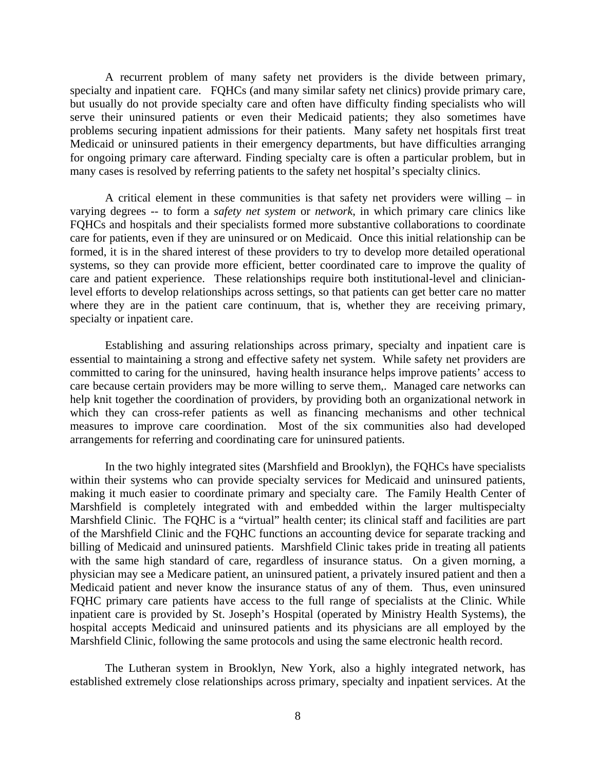A recurrent problem of many safety net providers is the divide between primary, specialty and inpatient care. FQHCs (and many similar safety net clinics) provide primary care, but usually do not provide specialty care and often have difficulty finding specialists who will serve their uninsured patients or even their Medicaid patients; they also sometimes have problems securing inpatient admissions for their patients. Many safety net hospitals first treat Medicaid or uninsured patients in their emergency departments, but have difficulties arranging for ongoing primary care afterward. Finding specialty care is often a particular problem, but in many cases is resolved by referring patients to the safety net hospital's specialty clinics.

 A critical element in these communities is that safety net providers were willing – in varying degrees -- to form a *safety net system* or *network*, in which primary care clinics like FQHCs and hospitals and their specialists formed more substantive collaborations to coordinate care for patients, even if they are uninsured or on Medicaid. Once this initial relationship can be formed, it is in the shared interest of these providers to try to develop more detailed operational systems, so they can provide more efficient, better coordinated care to improve the quality of care and patient experience. These relationships require both institutional-level and clinicianlevel efforts to develop relationships across settings, so that patients can get better care no matter where they are in the patient care continuum, that is, whether they are receiving primary, specialty or inpatient care.

Establishing and assuring relationships across primary, specialty and inpatient care is essential to maintaining a strong and effective safety net system. While safety net providers are committed to caring for the uninsured, having health insurance helps improve patients' access to care because certain providers may be more willing to serve them,. Managed care networks can help knit together the coordination of providers, by providing both an organizational network in which they can cross-refer patients as well as financing mechanisms and other technical measures to improve care coordination. Most of the six communities also had developed arrangements for referring and coordinating care for uninsured patients.

 In the two highly integrated sites (Marshfield and Brooklyn), the FQHCs have specialists within their systems who can provide specialty services for Medicaid and uninsured patients, making it much easier to coordinate primary and specialty care. The Family Health Center of Marshfield is completely integrated with and embedded within the larger multispecialty Marshfield Clinic. The FQHC is a "virtual" health center; its clinical staff and facilities are part of the Marshfield Clinic and the FQHC functions an accounting device for separate tracking and billing of Medicaid and uninsured patients. Marshfield Clinic takes pride in treating all patients with the same high standard of care, regardless of insurance status. On a given morning, a physician may see a Medicare patient, an uninsured patient, a privately insured patient and then a Medicaid patient and never know the insurance status of any of them. Thus, even uninsured FQHC primary care patients have access to the full range of specialists at the Clinic. While inpatient care is provided by St. Joseph's Hospital (operated by Ministry Health Systems), the hospital accepts Medicaid and uninsured patients and its physicians are all employed by the Marshfield Clinic, following the same protocols and using the same electronic health record.

The Lutheran system in Brooklyn, New York, also a highly integrated network, has established extremely close relationships across primary, specialty and inpatient services. At the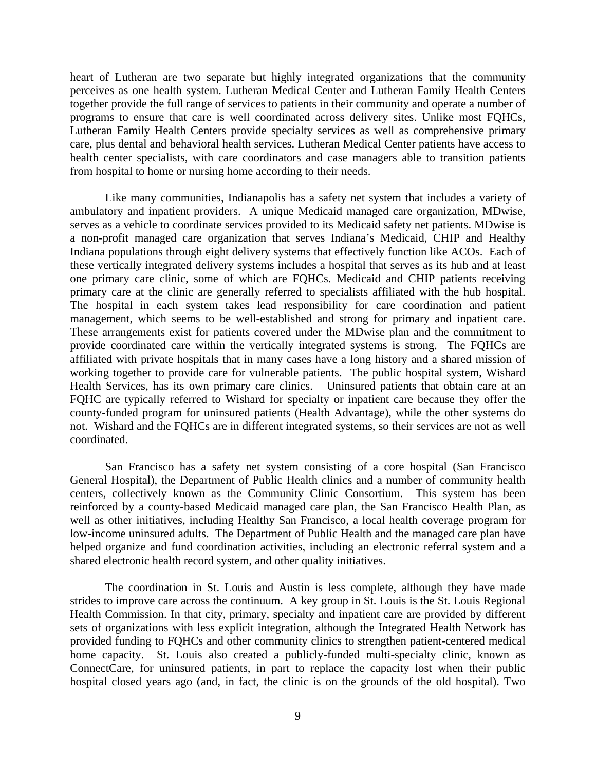heart of Lutheran are two separate but highly integrated organizations that the community perceives as one health system. Lutheran Medical Center and Lutheran Family Health Centers together provide the full range of services to patients in their community and operate a number of programs to ensure that care is well coordinated across delivery sites. Unlike most FQHCs, Lutheran Family Health Centers provide specialty services as well as comprehensive primary care, plus dental and behavioral health services. Lutheran Medical Center patients have access to health center specialists, with care coordinators and case managers able to transition patients from hospital to home or nursing home according to their needs.

Like many communities, Indianapolis has a safety net system that includes a variety of ambulatory and inpatient providers. A unique Medicaid managed care organization, MDwise, serves as a vehicle to coordinate services provided to its Medicaid safety net patients. MDwise is a non-profit managed care organization that serves Indiana's Medicaid, CHIP and Healthy Indiana populations through eight delivery systems that effectively function like ACOs. Each of these vertically integrated delivery systems includes a hospital that serves as its hub and at least one primary care clinic, some of which are FQHCs. Medicaid and CHIP patients receiving primary care at the clinic are generally referred to specialists affiliated with the hub hospital. The hospital in each system takes lead responsibility for care coordination and patient management, which seems to be well-established and strong for primary and inpatient care. These arrangements exist for patients covered under the MDwise plan and the commitment to provide coordinated care within the vertically integrated systems is strong. The FQHCs are affiliated with private hospitals that in many cases have a long history and a shared mission of working together to provide care for vulnerable patients. The public hospital system, Wishard Health Services, has its own primary care clinics. Uninsured patients that obtain care at an FQHC are typically referred to Wishard for specialty or inpatient care because they offer the county-funded program for uninsured patients (Health Advantage), while the other systems do not. Wishard and the FQHCs are in different integrated systems, so their services are not as well coordinated.

San Francisco has a safety net system consisting of a core hospital (San Francisco General Hospital), the Department of Public Health clinics and a number of community health centers, collectively known as the Community Clinic Consortium. This system has been reinforced by a county-based Medicaid managed care plan, the San Francisco Health Plan, as well as other initiatives, including Healthy San Francisco, a local health coverage program for low-income uninsured adults. The Department of Public Health and the managed care plan have helped organize and fund coordination activities, including an electronic referral system and a shared electronic health record system, and other quality initiatives.

The coordination in St. Louis and Austin is less complete, although they have made strides to improve care across the continuum. A key group in St. Louis is the St. Louis Regional Health Commission. In that city, primary, specialty and inpatient care are provided by different sets of organizations with less explicit integration, although the Integrated Health Network has provided funding to FQHCs and other community clinics to strengthen patient-centered medical home capacity. St. Louis also created a publicly-funded multi-specialty clinic, known as ConnectCare, for uninsured patients, in part to replace the capacity lost when their public hospital closed years ago (and, in fact, the clinic is on the grounds of the old hospital). Two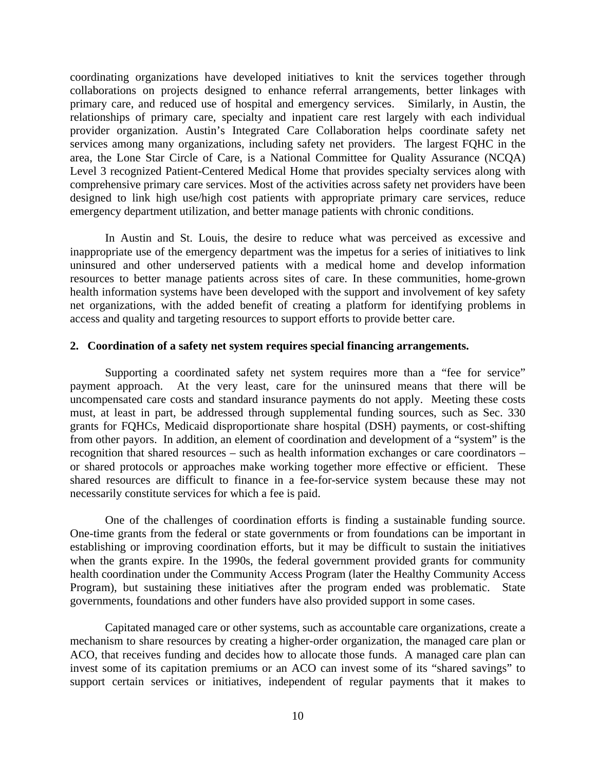coordinating organizations have developed initiatives to knit the services together through collaborations on projects designed to enhance referral arrangements, better linkages with primary care, and reduced use of hospital and emergency services. Similarly, in Austin, the relationships of primary care, specialty and inpatient care rest largely with each individual provider organization. Austin's Integrated Care Collaboration helps coordinate safety net services among many organizations, including safety net providers. The largest FQHC in the area, the Lone Star Circle of Care, is a National Committee for Quality Assurance (NCQA) Level 3 recognized Patient-Centered Medical Home that provides specialty services along with comprehensive primary care services. Most of the activities across safety net providers have been designed to link high use/high cost patients with appropriate primary care services, reduce emergency department utilization, and better manage patients with chronic conditions.

In Austin and St. Louis, the desire to reduce what was perceived as excessive and inappropriate use of the emergency department was the impetus for a series of initiatives to link uninsured and other underserved patients with a medical home and develop information resources to better manage patients across sites of care. In these communities, home-grown health information systems have been developed with the support and involvement of key safety net organizations, with the added benefit of creating a platform for identifying problems in access and quality and targeting resources to support efforts to provide better care.

#### **2. Coordination of a safety net system requires special financing arrangements.**

 Supporting a coordinated safety net system requires more than a "fee for service" payment approach. At the very least, care for the uninsured means that there will be uncompensated care costs and standard insurance payments do not apply. Meeting these costs must, at least in part, be addressed through supplemental funding sources, such as Sec. 330 grants for FQHCs, Medicaid disproportionate share hospital (DSH) payments, or cost-shifting from other payors. In addition, an element of coordination and development of a "system" is the recognition that shared resources – such as health information exchanges or care coordinators – or shared protocols or approaches make working together more effective or efficient. These shared resources are difficult to finance in a fee-for-service system because these may not necessarily constitute services for which a fee is paid.

One of the challenges of coordination efforts is finding a sustainable funding source. One-time grants from the federal or state governments or from foundations can be important in establishing or improving coordination efforts, but it may be difficult to sustain the initiatives when the grants expire. In the 1990s, the federal government provided grants for community health coordination under the Community Access Program (later the Healthy Community Access Program), but sustaining these initiatives after the program ended was problematic. State governments, foundations and other funders have also provided support in some cases.

Capitated managed care or other systems, such as accountable care organizations, create a mechanism to share resources by creating a higher-order organization, the managed care plan or ACO, that receives funding and decides how to allocate those funds. A managed care plan can invest some of its capitation premiums or an ACO can invest some of its "shared savings" to support certain services or initiatives, independent of regular payments that it makes to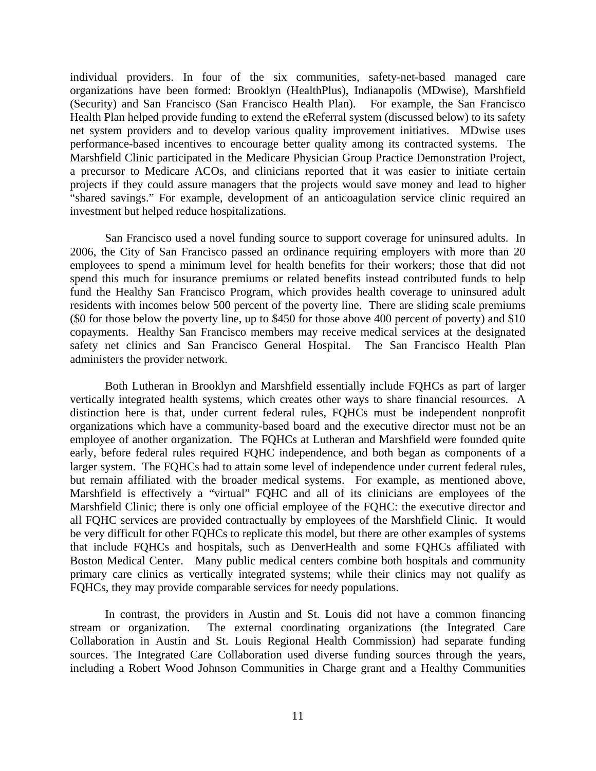individual providers. In four of the six communities, safety-net-based managed care organizations have been formed: Brooklyn (HealthPlus), Indianapolis (MDwise), Marshfield (Security) and San Francisco (San Francisco Health Plan). For example, the San Francisco Health Plan helped provide funding to extend the eReferral system (discussed below) to its safety net system providers and to develop various quality improvement initiatives. MDwise uses performance-based incentives to encourage better quality among its contracted systems. The Marshfield Clinic participated in the Medicare Physician Group Practice Demonstration Project, a precursor to Medicare ACOs, and clinicians reported that it was easier to initiate certain projects if they could assure managers that the projects would save money and lead to higher "shared savings." For example, development of an anticoagulation service clinic required an investment but helped reduce hospitalizations.

San Francisco used a novel funding source to support coverage for uninsured adults. In 2006, the City of San Francisco passed an ordinance requiring employers with more than 20 employees to spend a minimum level for health benefits for their workers; those that did not spend this much for insurance premiums or related benefits instead contributed funds to help fund the Healthy San Francisco Program, which provides health coverage to uninsured adult residents with incomes below 500 percent of the poverty line. There are sliding scale premiums (\$0 for those below the poverty line, up to \$450 for those above 400 percent of poverty) and \$10 copayments. Healthy San Francisco members may receive medical services at the designated safety net clinics and San Francisco General Hospital. The San Francisco Health Plan administers the provider network.

Both Lutheran in Brooklyn and Marshfield essentially include FQHCs as part of larger vertically integrated health systems, which creates other ways to share financial resources. A distinction here is that, under current federal rules, FQHCs must be independent nonprofit organizations which have a community-based board and the executive director must not be an employee of another organization. The FQHCs at Lutheran and Marshfield were founded quite early, before federal rules required FQHC independence, and both began as components of a larger system. The FQHCs had to attain some level of independence under current federal rules, but remain affiliated with the broader medical systems. For example, as mentioned above, Marshfield is effectively a "virtual" FQHC and all of its clinicians are employees of the Marshfield Clinic; there is only one official employee of the FQHC: the executive director and all FQHC services are provided contractually by employees of the Marshfield Clinic. It would be very difficult for other FQHCs to replicate this model, but there are other examples of systems that include FQHCs and hospitals, such as DenverHealth and some FQHCs affiliated with Boston Medical Center. Many public medical centers combine both hospitals and community primary care clinics as vertically integrated systems; while their clinics may not qualify as FQHCs, they may provide comparable services for needy populations.

In contrast, the providers in Austin and St. Louis did not have a common financing stream or organization. The external coordinating organizations (the Integrated Care Collaboration in Austin and St. Louis Regional Health Commission) had separate funding sources. The Integrated Care Collaboration used diverse funding sources through the years, including a Robert Wood Johnson Communities in Charge grant and a Healthy Communities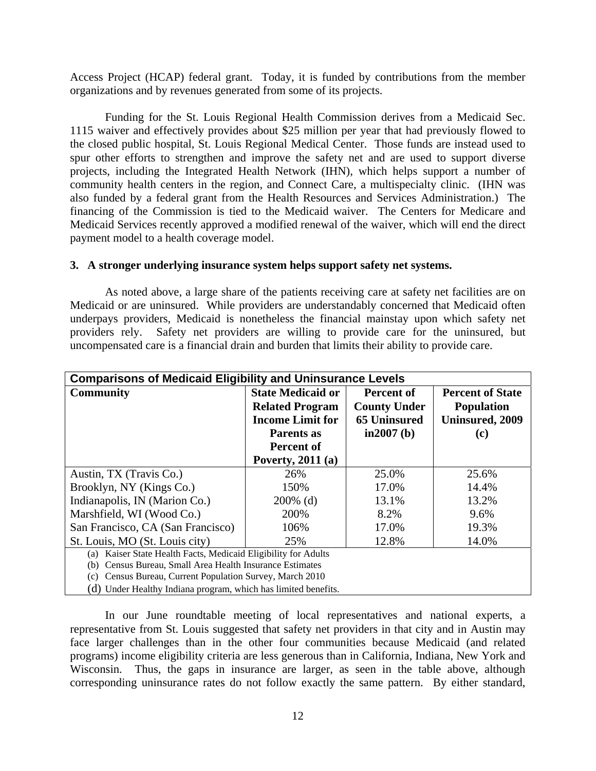Access Project (HCAP) federal grant. Today, it is funded by contributions from the member organizations and by revenues generated from some of its projects.

Funding for the St. Louis Regional Health Commission derives from a Medicaid Sec. 1115 waiver and effectively provides about \$25 million per year that had previously flowed to the closed public hospital, St. Louis Regional Medical Center. Those funds are instead used to spur other efforts to strengthen and improve the safety net and are used to support diverse projects, including the Integrated Health Network (IHN), which helps support a number of community health centers in the region, and Connect Care, a multispecialty clinic. (IHN was also funded by a federal grant from the Health Resources and Services Administration.) The financing of the Commission is tied to the Medicaid waiver. The Centers for Medicare and Medicaid Services recently approved a modified renewal of the waiver, which will end the direct payment model to a health coverage model.

#### **3. A stronger underlying insurance system helps support safety net systems.**

As noted above, a large share of the patients receiving care at safety net facilities are on Medicaid or are uninsured. While providers are understandably concerned that Medicaid often underpays providers, Medicaid is nonetheless the financial mainstay upon which safety net providers rely. Safety net providers are willing to provide care for the uninsured, but uncompensated care is a financial drain and burden that limits their ability to provide care.

| <b>Comparisons of Medicaid Eligibility and Uninsurance Levels</b> |                          |                     |                         |  |
|-------------------------------------------------------------------|--------------------------|---------------------|-------------------------|--|
| <b>Community</b>                                                  | <b>State Medicaid or</b> | Percent of          | <b>Percent of State</b> |  |
|                                                                   | <b>Related Program</b>   | <b>County Under</b> | <b>Population</b>       |  |
|                                                                   | <b>Income Limit for</b>  | <b>65 Uninsured</b> | <b>Uninsured, 2009</b>  |  |
|                                                                   | Parents as               | $in2007$ (b)        | (c)                     |  |
|                                                                   | Percent of               |                     |                         |  |
|                                                                   | Poverty, $2011(a)$       |                     |                         |  |
| Austin, TX (Travis Co.)                                           | 26%                      | 25.0%               | 25.6%                   |  |
| Brooklyn, NY (Kings Co.)                                          | 150%                     | 17.0%               | 14.4%                   |  |
| Indianapolis, IN (Marion Co.)                                     | $200\%$ (d)              | 13.1%               | 13.2%                   |  |
| Marshfield, WI (Wood Co.)                                         | 200%                     | 8.2%                | 9.6%                    |  |
| San Francisco, CA (San Francisco)                                 | 106%                     | 17.0%               | 19.3%                   |  |
| St. Louis, MO (St. Louis city)                                    | 25%                      | 12.8%               | 14.0%                   |  |
| Kaiser State Health Facts, Medicaid Eligibility for Adults<br>(a) |                          |                     |                         |  |
| Census Bureau, Small Area Health Insurance Estimates<br>(b)       |                          |                     |                         |  |
| Census Bureau, Current Population Survey, March 2010<br>(c)       |                          |                     |                         |  |

(d) Under Healthy Indiana program, which has limited benefits.

In our June roundtable meeting of local representatives and national experts, a representative from St. Louis suggested that safety net providers in that city and in Austin may face larger challenges than in the other four communities because Medicaid (and related programs) income eligibility criteria are less generous than in California, Indiana, New York and Wisconsin. Thus, the gaps in insurance are larger, as seen in the table above, although corresponding uninsurance rates do not follow exactly the same pattern. By either standard,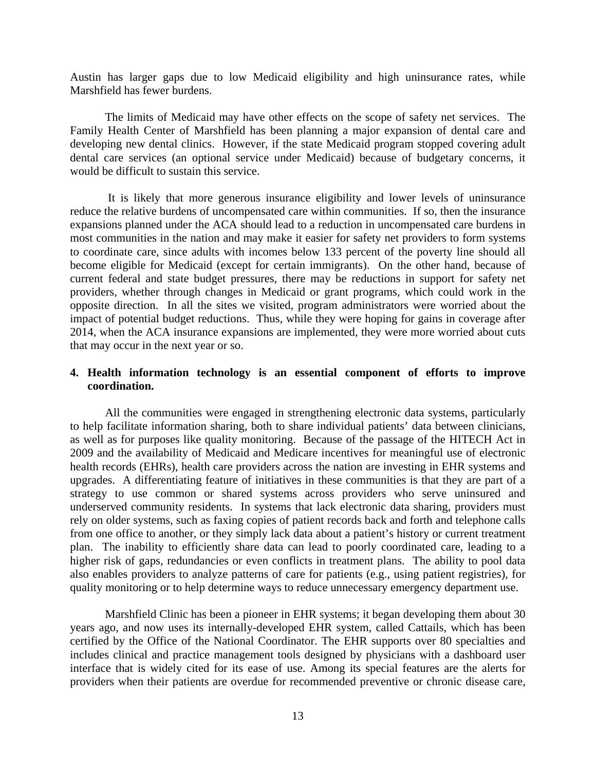Austin has larger gaps due to low Medicaid eligibility and high uninsurance rates, while Marshfield has fewer burdens.

The limits of Medicaid may have other effects on the scope of safety net services. The Family Health Center of Marshfield has been planning a major expansion of dental care and developing new dental clinics. However, if the state Medicaid program stopped covering adult dental care services (an optional service under Medicaid) because of budgetary concerns, it would be difficult to sustain this service.

 It is likely that more generous insurance eligibility and lower levels of uninsurance reduce the relative burdens of uncompensated care within communities. If so, then the insurance expansions planned under the ACA should lead to a reduction in uncompensated care burdens in most communities in the nation and may make it easier for safety net providers to form systems to coordinate care, since adults with incomes below 133 percent of the poverty line should all become eligible for Medicaid (except for certain immigrants). On the other hand, because of current federal and state budget pressures, there may be reductions in support for safety net providers, whether through changes in Medicaid or grant programs, which could work in the opposite direction. In all the sites we visited, program administrators were worried about the impact of potential budget reductions. Thus, while they were hoping for gains in coverage after 2014, when the ACA insurance expansions are implemented, they were more worried about cuts that may occur in the next year or so.

#### **4. Health information technology is an essential component of efforts to improve coordination.**

 All the communities were engaged in strengthening electronic data systems, particularly to help facilitate information sharing, both to share individual patients' data between clinicians, as well as for purposes like quality monitoring. Because of the passage of the HITECH Act in 2009 and the availability of Medicaid and Medicare incentives for meaningful use of electronic health records (EHRs), health care providers across the nation are investing in EHR systems and upgrades. A differentiating feature of initiatives in these communities is that they are part of a strategy to use common or shared systems across providers who serve uninsured and underserved community residents. In systems that lack electronic data sharing, providers must rely on older systems, such as faxing copies of patient records back and forth and telephone calls from one office to another, or they simply lack data about a patient's history or current treatment plan. The inability to efficiently share data can lead to poorly coordinated care, leading to a higher risk of gaps, redundancies or even conflicts in treatment plans. The ability to pool data also enables providers to analyze patterns of care for patients (e.g., using patient registries), for quality monitoring or to help determine ways to reduce unnecessary emergency department use.

Marshfield Clinic has been a pioneer in EHR systems; it began developing them about 30 years ago, and now uses its internally-developed EHR system, called Cattails, which has been certified by the Office of the National Coordinator. The EHR supports over 80 specialties and includes clinical and practice management tools designed by physicians with a dashboard user interface that is widely cited for its ease of use. Among its special features are the alerts for providers when their patients are overdue for recommended preventive or chronic disease care,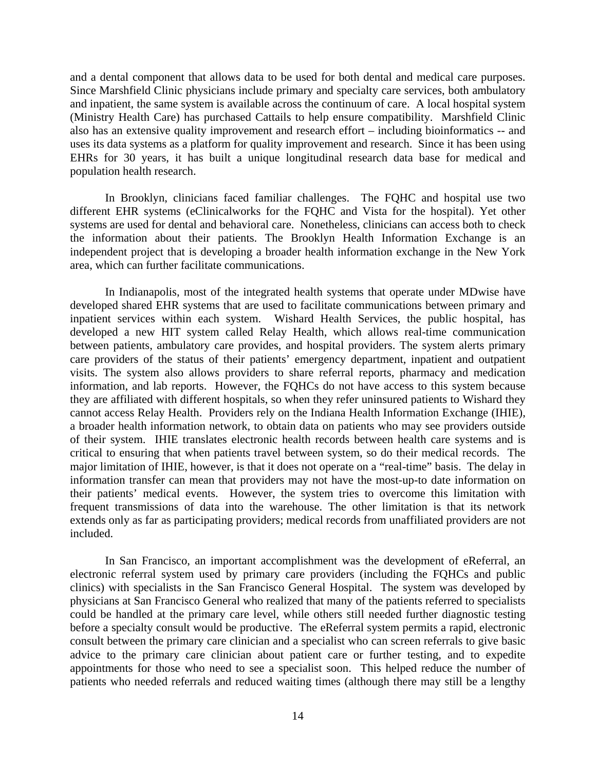and a dental component that allows data to be used for both dental and medical care purposes. Since Marshfield Clinic physicians include primary and specialty care services, both ambulatory and inpatient, the same system is available across the continuum of care. A local hospital system (Ministry Health Care) has purchased Cattails to help ensure compatibility. Marshfield Clinic also has an extensive quality improvement and research effort – including bioinformatics -- and uses its data systems as a platform for quality improvement and research. Since it has been using EHRs for 30 years, it has built a unique longitudinal research data base for medical and population health research.

In Brooklyn, clinicians faced familiar challenges. The FQHC and hospital use two different EHR systems (eClinicalworks for the FQHC and Vista for the hospital). Yet other systems are used for dental and behavioral care. Nonetheless, clinicians can access both to check the information about their patients. The Brooklyn Health Information Exchange is an independent project that is developing a broader health information exchange in the New York area, which can further facilitate communications.

In Indianapolis, most of the integrated health systems that operate under MDwise have developed shared EHR systems that are used to facilitate communications between primary and inpatient services within each system. Wishard Health Services, the public hospital, has developed a new HIT system called Relay Health, which allows real-time communication between patients, ambulatory care provides, and hospital providers. The system alerts primary care providers of the status of their patients' emergency department, inpatient and outpatient visits. The system also allows providers to share referral reports, pharmacy and medication information, and lab reports. However, the FQHCs do not have access to this system because they are affiliated with different hospitals, so when they refer uninsured patients to Wishard they cannot access Relay Health. Providers rely on the Indiana Health Information Exchange (IHIE), a broader health information network, to obtain data on patients who may see providers outside of their system. IHIE translates electronic health records between health care systems and is critical to ensuring that when patients travel between system, so do their medical records. The major limitation of IHIE, however, is that it does not operate on a "real-time" basis. The delay in information transfer can mean that providers may not have the most-up-to date information on their patients' medical events. However, the system tries to overcome this limitation with frequent transmissions of data into the warehouse. The other limitation is that its network extends only as far as participating providers; medical records from unaffiliated providers are not included.

In San Francisco, an important accomplishment was the development of eReferral, an electronic referral system used by primary care providers (including the FQHCs and public clinics) with specialists in the San Francisco General Hospital. The system was developed by physicians at San Francisco General who realized that many of the patients referred to specialists could be handled at the primary care level, while others still needed further diagnostic testing before a specialty consult would be productive. The eReferral system permits a rapid, electronic consult between the primary care clinician and a specialist who can screen referrals to give basic advice to the primary care clinician about patient care or further testing, and to expedite appointments for those who need to see a specialist soon. This helped reduce the number of patients who needed referrals and reduced waiting times (although there may still be a lengthy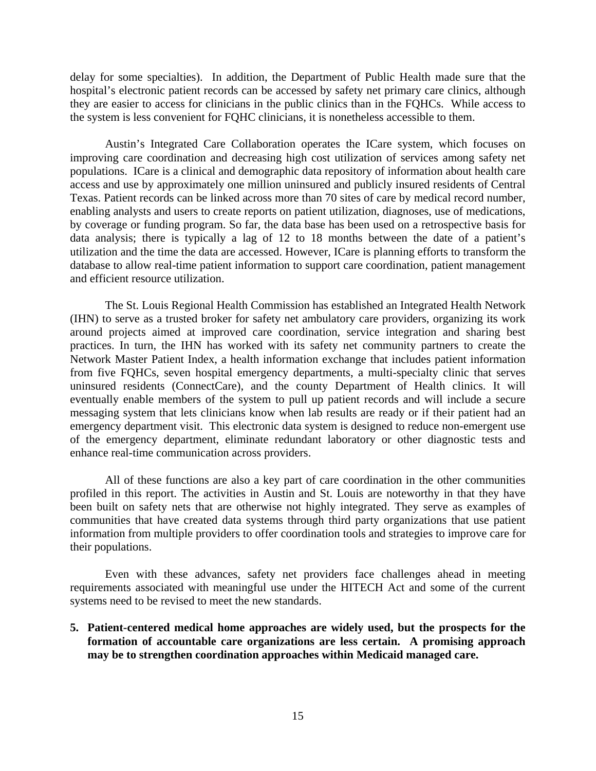delay for some specialties). In addition, the Department of Public Health made sure that the hospital's electronic patient records can be accessed by safety net primary care clinics, although they are easier to access for clinicians in the public clinics than in the FQHCs. While access to the system is less convenient for FQHC clinicians, it is nonetheless accessible to them.

Austin's Integrated Care Collaboration operates the ICare system, which focuses on improving care coordination and decreasing high cost utilization of services among safety net populations. ICare is a clinical and demographic data repository of information about health care access and use by approximately one million uninsured and publicly insured residents of Central Texas. Patient records can be linked across more than 70 sites of care by medical record number, enabling analysts and users to create reports on patient utilization, diagnoses, use of medications, by coverage or funding program. So far, the data base has been used on a retrospective basis for data analysis; there is typically a lag of 12 to 18 months between the date of a patient's utilization and the time the data are accessed. However, ICare is planning efforts to transform the database to allow real-time patient information to support care coordination, patient management and efficient resource utilization.

The St. Louis Regional Health Commission has established an Integrated Health Network (IHN) to serve as a trusted broker for safety net ambulatory care providers, organizing its work around projects aimed at improved care coordination, service integration and sharing best practices. In turn, the IHN has worked with its safety net community partners to create the Network Master Patient Index, a health information exchange that includes patient information from five FQHCs, seven hospital emergency departments, a multi-specialty clinic that serves uninsured residents (ConnectCare), and the county Department of Health clinics. It will eventually enable members of the system to pull up patient records and will include a secure messaging system that lets clinicians know when lab results are ready or if their patient had an emergency department visit. This electronic data system is designed to reduce non-emergent use of the emergency department, eliminate redundant laboratory or other diagnostic tests and enhance real-time communication across providers.

All of these functions are also a key part of care coordination in the other communities profiled in this report. The activities in Austin and St. Louis are noteworthy in that they have been built on safety nets that are otherwise not highly integrated. They serve as examples of communities that have created data systems through third party organizations that use patient information from multiple providers to offer coordination tools and strategies to improve care for their populations.

Even with these advances, safety net providers face challenges ahead in meeting requirements associated with meaningful use under the HITECH Act and some of the current systems need to be revised to meet the new standards.

**5. Patient-centered medical home approaches are widely used, but the prospects for the formation of accountable care organizations are less certain. A promising approach may be to strengthen coordination approaches within Medicaid managed care.**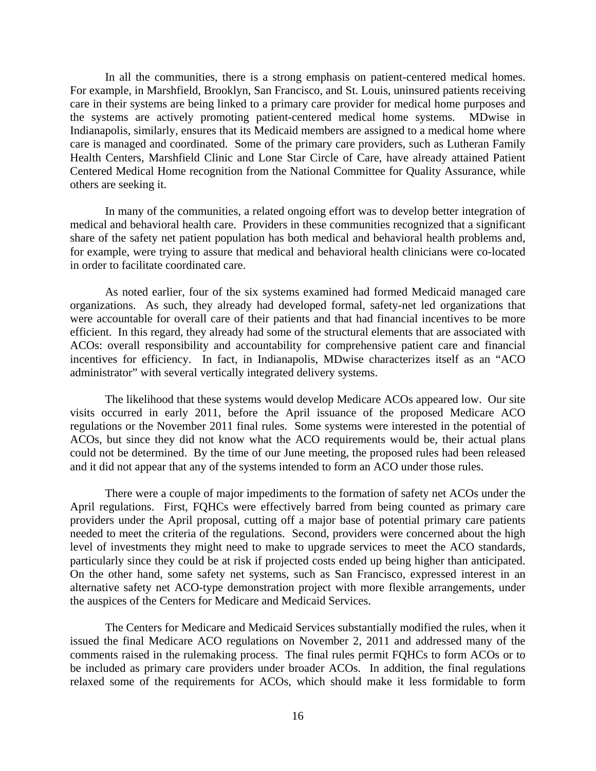In all the communities, there is a strong emphasis on patient-centered medical homes. For example, in Marshfield, Brooklyn, San Francisco, and St. Louis, uninsured patients receiving care in their systems are being linked to a primary care provider for medical home purposes and the systems are actively promoting patient-centered medical home systems. MDwise in Indianapolis, similarly, ensures that its Medicaid members are assigned to a medical home where care is managed and coordinated. Some of the primary care providers, such as Lutheran Family Health Centers, Marshfield Clinic and Lone Star Circle of Care, have already attained Patient Centered Medical Home recognition from the National Committee for Quality Assurance, while others are seeking it.

In many of the communities, a related ongoing effort was to develop better integration of medical and behavioral health care. Providers in these communities recognized that a significant share of the safety net patient population has both medical and behavioral health problems and, for example, were trying to assure that medical and behavioral health clinicians were co-located in order to facilitate coordinated care.

 As noted earlier, four of the six systems examined had formed Medicaid managed care organizations. As such, they already had developed formal, safety-net led organizations that were accountable for overall care of their patients and that had financial incentives to be more efficient. In this regard, they already had some of the structural elements that are associated with ACOs: overall responsibility and accountability for comprehensive patient care and financial incentives for efficiency. In fact, in Indianapolis, MDwise characterizes itself as an "ACO administrator" with several vertically integrated delivery systems.

The likelihood that these systems would develop Medicare ACOs appeared low. Our site visits occurred in early 2011, before the April issuance of the proposed Medicare ACO regulations or the November 2011 final rules. Some systems were interested in the potential of ACOs, but since they did not know what the ACO requirements would be, their actual plans could not be determined. By the time of our June meeting, the proposed rules had been released and it did not appear that any of the systems intended to form an ACO under those rules.

 There were a couple of major impediments to the formation of safety net ACOs under the April regulations. First, FQHCs were effectively barred from being counted as primary care providers under the April proposal, cutting off a major base of potential primary care patients needed to meet the criteria of the regulations. Second, providers were concerned about the high level of investments they might need to make to upgrade services to meet the ACO standards, particularly since they could be at risk if projected costs ended up being higher than anticipated. On the other hand, some safety net systems, such as San Francisco, expressed interest in an alternative safety net ACO-type demonstration project with more flexible arrangements, under the auspices of the Centers for Medicare and Medicaid Services.

 The Centers for Medicare and Medicaid Services substantially modified the rules, when it issued the final Medicare ACO regulations on November 2, 2011 and addressed many of the comments raised in the rulemaking process. The final rules permit FQHCs to form ACOs or to be included as primary care providers under broader ACOs. In addition, the final regulations relaxed some of the requirements for ACOs, which should make it less formidable to form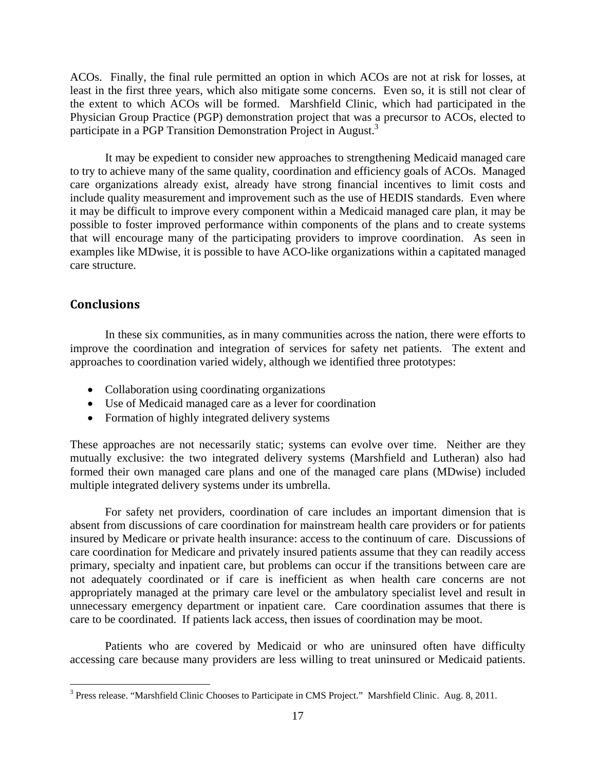ACOs. Finally, the final rule permitted an option in which ACOs are not at risk for losses, at least in the first three years, which also mitigate some concerns. Even so, it is still not clear of the extent to which ACOs will be formed. Marshfield Clinic, which had participated in the Physician Group Practice (PGP) demonstration project that was a precursor to ACOs, elected to participate in a PGP Transition Demonstration Project in August.<sup>3</sup>

 It may be expedient to consider new approaches to strengthening Medicaid managed care to try to achieve many of the same quality, coordination and efficiency goals of ACOs. Managed care organizations already exist, already have strong financial incentives to limit costs and include quality measurement and improvement such as the use of HEDIS standards. Even where it may be difficult to improve every component within a Medicaid managed care plan, it may be possible to foster improved performance within components of the plans and to create systems that will encourage many of the participating providers to improve coordination. As seen in examples like MDwise, it is possible to have ACO-like organizations within a capitated managed care structure.

## **Conclusions**

 $\overline{a}$ 

In these six communities, as in many communities across the nation, there were efforts to improve the coordination and integration of services for safety net patients. The extent and approaches to coordination varied widely, although we identified three prototypes:

- Collaboration using coordinating organizations
- Use of Medicaid managed care as a lever for coordination
- Formation of highly integrated delivery systems

These approaches are not necessarily static; systems can evolve over time. Neither are they mutually exclusive: the two integrated delivery systems (Marshfield and Lutheran) also had formed their own managed care plans and one of the managed care plans (MDwise) included multiple integrated delivery systems under its umbrella.

For safety net providers, coordination of care includes an important dimension that is absent from discussions of care coordination for mainstream health care providers or for patients insured by Medicare or private health insurance: access to the continuum of care. Discussions of care coordination for Medicare and privately insured patients assume that they can readily access primary, specialty and inpatient care, but problems can occur if the transitions between care are not adequately coordinated or if care is inefficient as when health care concerns are not appropriately managed at the primary care level or the ambulatory specialist level and result in unnecessary emergency department or inpatient care. Care coordination assumes that there is care to be coordinated. If patients lack access, then issues of coordination may be moot.

Patients who are covered by Medicaid or who are uninsured often have difficulty accessing care because many providers are less willing to treat uninsured or Medicaid patients.

<sup>&</sup>lt;sup>3</sup> Press release. "Marshfield Clinic Chooses to Participate in CMS Project." Marshfield Clinic. Aug. 8, 2011.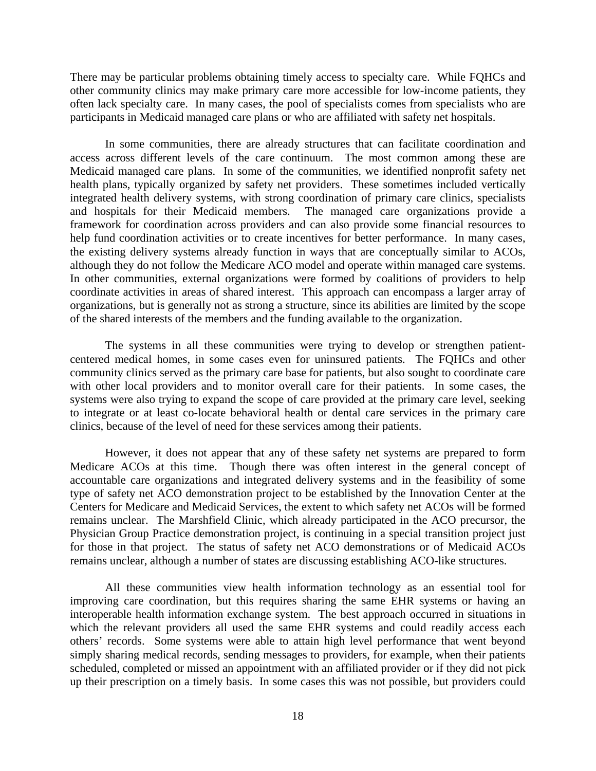There may be particular problems obtaining timely access to specialty care. While FQHCs and other community clinics may make primary care more accessible for low-income patients, they often lack specialty care. In many cases, the pool of specialists comes from specialists who are participants in Medicaid managed care plans or who are affiliated with safety net hospitals.

 In some communities, there are already structures that can facilitate coordination and access across different levels of the care continuum. The most common among these are Medicaid managed care plans. In some of the communities, we identified nonprofit safety net health plans, typically organized by safety net providers. These sometimes included vertically integrated health delivery systems, with strong coordination of primary care clinics, specialists and hospitals for their Medicaid members. The managed care organizations provide a framework for coordination across providers and can also provide some financial resources to help fund coordination activities or to create incentives for better performance. In many cases, the existing delivery systems already function in ways that are conceptually similar to ACOs, although they do not follow the Medicare ACO model and operate within managed care systems. In other communities, external organizations were formed by coalitions of providers to help coordinate activities in areas of shared interest. This approach can encompass a larger array of organizations, but is generally not as strong a structure, since its abilities are limited by the scope of the shared interests of the members and the funding available to the organization.

 The systems in all these communities were trying to develop or strengthen patientcentered medical homes, in some cases even for uninsured patients. The FQHCs and other community clinics served as the primary care base for patients, but also sought to coordinate care with other local providers and to monitor overall care for their patients. In some cases, the systems were also trying to expand the scope of care provided at the primary care level, seeking to integrate or at least co-locate behavioral health or dental care services in the primary care clinics, because of the level of need for these services among their patients.

However, it does not appear that any of these safety net systems are prepared to form Medicare ACOs at this time. Though there was often interest in the general concept of accountable care organizations and integrated delivery systems and in the feasibility of some type of safety net ACO demonstration project to be established by the Innovation Center at the Centers for Medicare and Medicaid Services, the extent to which safety net ACOs will be formed remains unclear. The Marshfield Clinic, which already participated in the ACO precursor, the Physician Group Practice demonstration project, is continuing in a special transition project just for those in that project. The status of safety net ACO demonstrations or of Medicaid ACOs remains unclear, although a number of states are discussing establishing ACO-like structures.

 All these communities view health information technology as an essential tool for improving care coordination, but this requires sharing the same EHR systems or having an interoperable health information exchange system. The best approach occurred in situations in which the relevant providers all used the same EHR systems and could readily access each others' records. Some systems were able to attain high level performance that went beyond simply sharing medical records, sending messages to providers, for example, when their patients scheduled, completed or missed an appointment with an affiliated provider or if they did not pick up their prescription on a timely basis. In some cases this was not possible, but providers could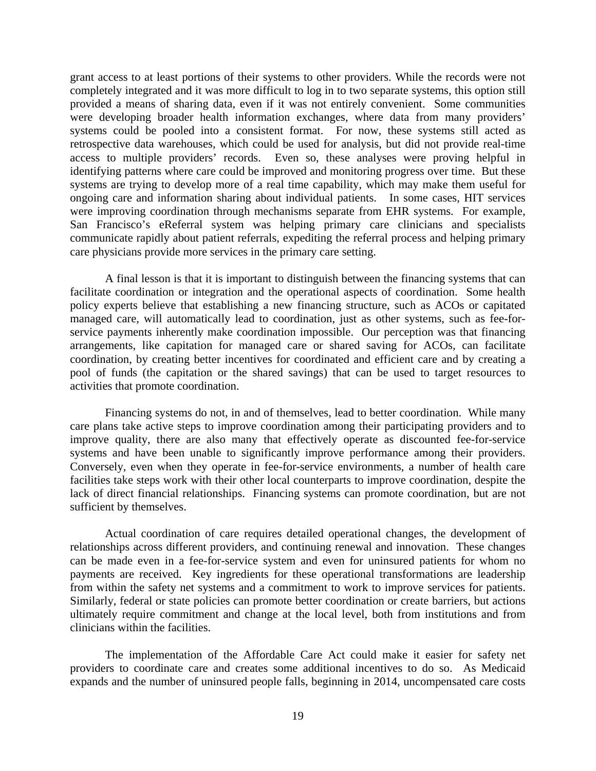grant access to at least portions of their systems to other providers. While the records were not completely integrated and it was more difficult to log in to two separate systems, this option still provided a means of sharing data, even if it was not entirely convenient. Some communities were developing broader health information exchanges, where data from many providers' systems could be pooled into a consistent format. For now, these systems still acted as retrospective data warehouses, which could be used for analysis, but did not provide real-time access to multiple providers' records. Even so, these analyses were proving helpful in identifying patterns where care could be improved and monitoring progress over time. But these systems are trying to develop more of a real time capability, which may make them useful for ongoing care and information sharing about individual patients. In some cases, HIT services were improving coordination through mechanisms separate from EHR systems. For example, San Francisco's eReferral system was helping primary care clinicians and specialists communicate rapidly about patient referrals, expediting the referral process and helping primary care physicians provide more services in the primary care setting.

 A final lesson is that it is important to distinguish between the financing systems that can facilitate coordination or integration and the operational aspects of coordination. Some health policy experts believe that establishing a new financing structure, such as ACOs or capitated managed care, will automatically lead to coordination, just as other systems, such as fee-forservice payments inherently make coordination impossible. Our perception was that financing arrangements, like capitation for managed care or shared saving for ACOs, can facilitate coordination, by creating better incentives for coordinated and efficient care and by creating a pool of funds (the capitation or the shared savings) that can be used to target resources to activities that promote coordination.

Financing systems do not, in and of themselves, lead to better coordination. While many care plans take active steps to improve coordination among their participating providers and to improve quality, there are also many that effectively operate as discounted fee-for-service systems and have been unable to significantly improve performance among their providers. Conversely, even when they operate in fee-for-service environments, a number of health care facilities take steps work with their other local counterparts to improve coordination, despite the lack of direct financial relationships. Financing systems can promote coordination, but are not sufficient by themselves.

 Actual coordination of care requires detailed operational changes, the development of relationships across different providers, and continuing renewal and innovation. These changes can be made even in a fee-for-service system and even for uninsured patients for whom no payments are received. Key ingredients for these operational transformations are leadership from within the safety net systems and a commitment to work to improve services for patients. Similarly, federal or state policies can promote better coordination or create barriers, but actions ultimately require commitment and change at the local level, both from institutions and from clinicians within the facilities.

 The implementation of the Affordable Care Act could make it easier for safety net providers to coordinate care and creates some additional incentives to do so. As Medicaid expands and the number of uninsured people falls, beginning in 2014, uncompensated care costs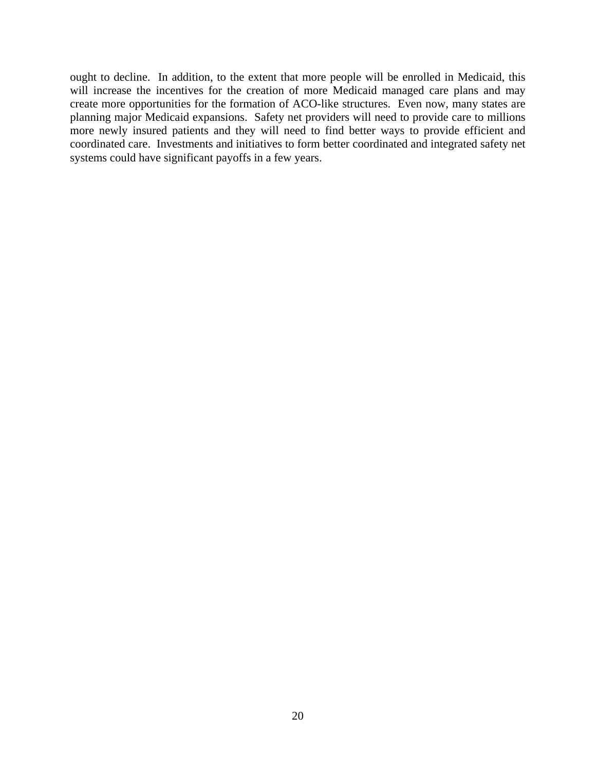ought to decline. In addition, to the extent that more people will be enrolled in Medicaid, this will increase the incentives for the creation of more Medicaid managed care plans and may create more opportunities for the formation of ACO-like structures. Even now, many states are planning major Medicaid expansions. Safety net providers will need to provide care to millions more newly insured patients and they will need to find better ways to provide efficient and coordinated care. Investments and initiatives to form better coordinated and integrated safety net systems could have significant payoffs in a few years.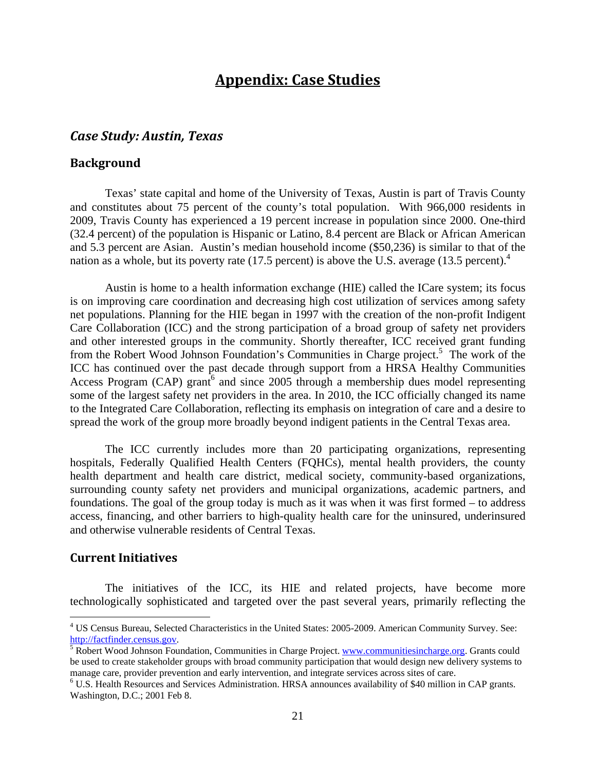# **Appendix: Case Studies**

## *Case Study: Austin, Texas*

#### **Background**

Texas' state capital and home of the University of Texas, Austin is part of Travis County and constitutes about 75 percent of the county's total population. With 966,000 residents in 2009, Travis County has experienced a 19 percent increase in population since 2000. One-third (32.4 percent) of the population is Hispanic or Latino, 8.4 percent are Black or African American and 5.3 percent are Asian. Austin's median household income (\$50,236) is similar to that of the nation as a whole, but its poverty rate (17.5 percent) is above the U.S. average (13.5 percent).<sup>4</sup>

Austin is home to a health information exchange (HIE) called the ICare system; its focus is on improving care coordination and decreasing high cost utilization of services among safety net populations. Planning for the HIE began in 1997 with the creation of the non-profit Indigent Care Collaboration (ICC) and the strong participation of a broad group of safety net providers and other interested groups in the community. Shortly thereafter, ICC received grant funding from the Robert Wood Johnson Foundation's Communities in Charge project.<sup>5</sup> The work of the ICC has continued over the past decade through support from a HRSA Healthy Communities Access Program (CAP) grant<sup>6</sup> and since 2005 through a membership dues model representing some of the largest safety net providers in the area. In 2010, the ICC officially changed its name to the Integrated Care Collaboration, reflecting its emphasis on integration of care and a desire to spread the work of the group more broadly beyond indigent patients in the Central Texas area.

The ICC currently includes more than 20 participating organizations, representing hospitals, Federally Qualified Health Centers (FQHCs), mental health providers, the county health department and health care district, medical society, community-based organizations, surrounding county safety net providers and municipal organizations, academic partners, and foundations. The goal of the group today is much as it was when it was first formed – to address access, financing, and other barriers to high-quality health care for the uninsured, underinsured and otherwise vulnerable residents of Central Texas.

## **Current Initiatives**

 $\overline{a}$ 

The initiatives of the ICC, its HIE and related projects, have become more technologically sophisticated and targeted over the past several years, primarily reflecting the

<sup>&</sup>lt;sup>4</sup> US Census Bureau, Selected Characteristics in the United States: 2005-2009. American Community Survey. See: http://factfinder.census.gov. 5

<sup>&</sup>lt;sup>5</sup> Robert Wood Johnson Foundation, Communities in Charge Project. www.communitiesincharge.org. Grants could be used to create stakeholder groups with broad community participation that would design new delivery systems to manage care, provider prevention and early intervention, and integrate services across sites of care. 6

U.S. Health Resources and Services Administration. HRSA announces availability of \$40 million in CAP grants. Washington, D.C.; 2001 Feb 8.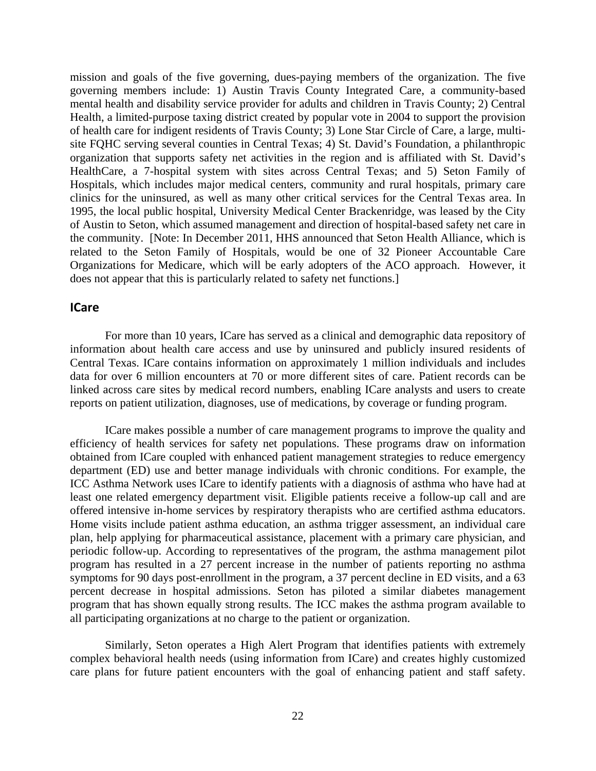mission and goals of the five governing, dues-paying members of the organization. The five governing members include: 1) Austin Travis County Integrated Care, a community-based mental health and disability service provider for adults and children in Travis County; 2) Central Health, a limited-purpose taxing district created by popular vote in 2004 to support the provision of health care for indigent residents of Travis County; 3) Lone Star Circle of Care, a large, multisite FQHC serving several counties in Central Texas; 4) St. David's Foundation, a philanthropic organization that supports safety net activities in the region and is affiliated with St. David's HealthCare, a 7-hospital system with sites across Central Texas; and 5) Seton Family of Hospitals, which includes major medical centers, community and rural hospitals, primary care clinics for the uninsured, as well as many other critical services for the Central Texas area. In 1995, the local public hospital, University Medical Center Brackenridge, was leased by the City of Austin to Seton, which assumed management and direction of hospital-based safety net care in the community. [Note: In December 2011, HHS announced that Seton Health Alliance, which is related to the Seton Family of Hospitals, would be one of 32 Pioneer Accountable Care Organizations for Medicare, which will be early adopters of the ACO approach. However, it does not appear that this is particularly related to safety net functions.]

#### **ICare**

For more than 10 years, ICare has served as a clinical and demographic data repository of information about health care access and use by uninsured and publicly insured residents of Central Texas. ICare contains information on approximately 1 million individuals and includes data for over 6 million encounters at 70 or more different sites of care. Patient records can be linked across care sites by medical record numbers, enabling ICare analysts and users to create reports on patient utilization, diagnoses, use of medications, by coverage or funding program.

ICare makes possible a number of care management programs to improve the quality and efficiency of health services for safety net populations. These programs draw on information obtained from ICare coupled with enhanced patient management strategies to reduce emergency department (ED) use and better manage individuals with chronic conditions. For example, the ICC Asthma Network uses ICare to identify patients with a diagnosis of asthma who have had at least one related emergency department visit. Eligible patients receive a follow-up call and are offered intensive in-home services by respiratory therapists who are certified asthma educators. Home visits include patient asthma education, an asthma trigger assessment, an individual care plan, help applying for pharmaceutical assistance, placement with a primary care physician, and periodic follow-up. According to representatives of the program, the asthma management pilot program has resulted in a 27 percent increase in the number of patients reporting no asthma symptoms for 90 days post-enrollment in the program, a 37 percent decline in ED visits, and a 63 percent decrease in hospital admissions. Seton has piloted a similar diabetes management program that has shown equally strong results. The ICC makes the asthma program available to all participating organizations at no charge to the patient or organization.

Similarly, Seton operates a High Alert Program that identifies patients with extremely complex behavioral health needs (using information from ICare) and creates highly customized care plans for future patient encounters with the goal of enhancing patient and staff safety.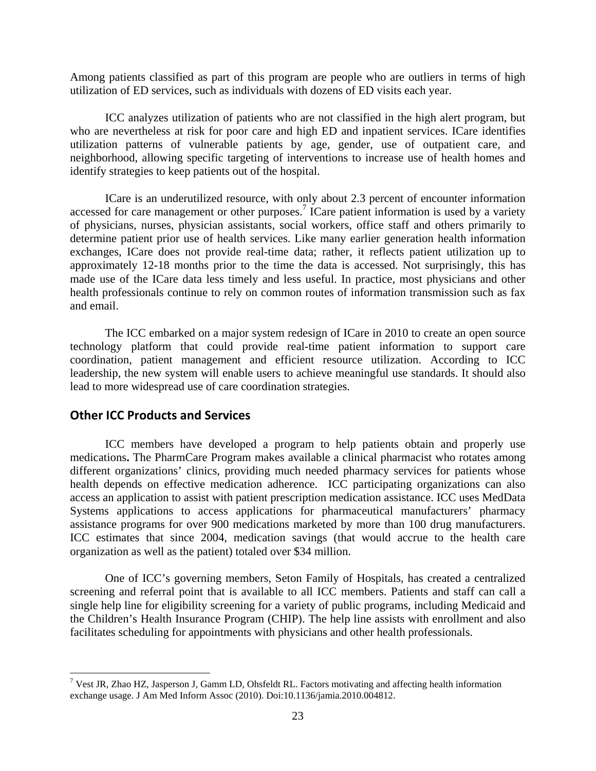Among patients classified as part of this program are people who are outliers in terms of high utilization of ED services, such as individuals with dozens of ED visits each year.

ICC analyzes utilization of patients who are not classified in the high alert program, but who are nevertheless at risk for poor care and high ED and inpatient services. ICare identifies utilization patterns of vulnerable patients by age, gender, use of outpatient care, and neighborhood, allowing specific targeting of interventions to increase use of health homes and identify strategies to keep patients out of the hospital.

ICare is an underutilized resource, with only about 2.3 percent of encounter information accessed for care management or other purposes.<sup>7</sup> ICare patient information is used by a variety of physicians, nurses, physician assistants, social workers, office staff and others primarily to determine patient prior use of health services. Like many earlier generation health information exchanges, ICare does not provide real-time data; rather, it reflects patient utilization up to approximately 12-18 months prior to the time the data is accessed. Not surprisingly, this has made use of the ICare data less timely and less useful. In practice, most physicians and other health professionals continue to rely on common routes of information transmission such as fax and email.

The ICC embarked on a major system redesign of ICare in 2010 to create an open source technology platform that could provide real-time patient information to support care coordination, patient management and efficient resource utilization. According to ICC leadership, the new system will enable users to achieve meaningful use standards. It should also lead to more widespread use of care coordination strategies.

## **Other ICC Products and Services**

 $\overline{a}$ 

ICC members have developed a program to help patients obtain and properly use medications**.** The PharmCare Program makes available a clinical pharmacist who rotates among different organizations' clinics, providing much needed pharmacy services for patients whose health depends on effective medication adherence. ICC participating organizations can also access an application to assist with patient prescription medication assistance. ICC uses MedData Systems applications to access applications for pharmaceutical manufacturers' pharmacy assistance programs for over 900 medications marketed by more than 100 drug manufacturers. ICC estimates that since 2004, medication savings (that would accrue to the health care organization as well as the patient) totaled over \$34 million.

One of ICC's governing members, Seton Family of Hospitals, has created a centralized screening and referral point that is available to all ICC members. Patients and staff can call a single help line for eligibility screening for a variety of public programs, including Medicaid and the Children's Health Insurance Program (CHIP). The help line assists with enrollment and also facilitates scheduling for appointments with physicians and other health professionals.

 $7$  Vest JR, Zhao HZ, Jasperson J, Gamm LD, Ohsfeldt RL. Factors motivating and affecting health information exchange usage. J Am Med Inform Assoc (2010). Doi:10.1136/jamia.2010.004812.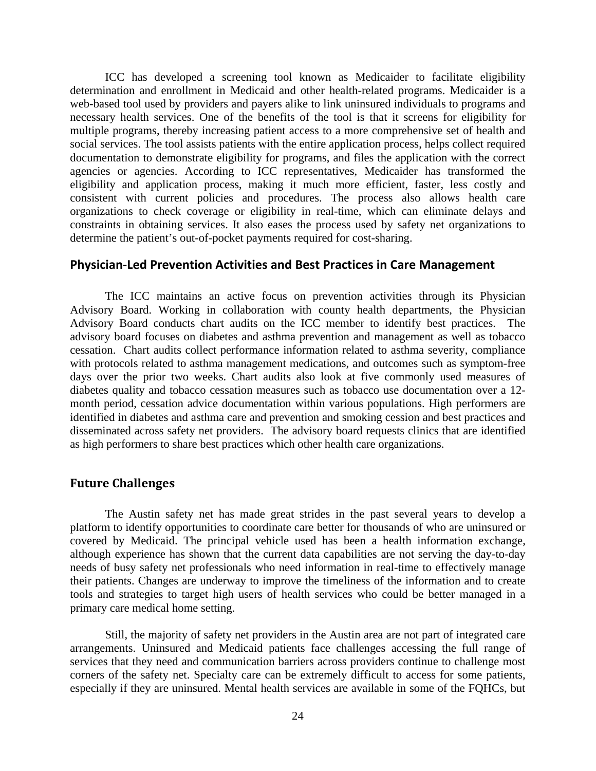ICC has developed a screening tool known as Medicaider to facilitate eligibility determination and enrollment in Medicaid and other health-related programs. Medicaider is a web-based tool used by providers and payers alike to link uninsured individuals to programs and necessary health services. One of the benefits of the tool is that it screens for eligibility for multiple programs, thereby increasing patient access to a more comprehensive set of health and social services. The tool assists patients with the entire application process, helps collect required documentation to demonstrate eligibility for programs, and files the application with the correct agencies or agencies. According to ICC representatives, Medicaider has transformed the eligibility and application process, making it much more efficient, faster, less costly and consistent with current policies and procedures. The process also allows health care organizations to check coverage or eligibility in real-time, which can eliminate delays and constraints in obtaining services. It also eases the process used by safety net organizations to determine the patient's out-of-pocket payments required for cost-sharing.

#### **Physician‐Led Prevention Activities and Best Practices in Care Management**

The ICC maintains an active focus on prevention activities through its Physician Advisory Board. Working in collaboration with county health departments, the Physician Advisory Board conducts chart audits on the ICC member to identify best practices. The advisory board focuses on diabetes and asthma prevention and management as well as tobacco cessation. Chart audits collect performance information related to asthma severity, compliance with protocols related to asthma management medications, and outcomes such as symptom-free days over the prior two weeks. Chart audits also look at five commonly used measures of diabetes quality and tobacco cessation measures such as tobacco use documentation over a 12 month period, cessation advice documentation within various populations. High performers are identified in diabetes and asthma care and prevention and smoking cession and best practices and disseminated across safety net providers. The advisory board requests clinics that are identified as high performers to share best practices which other health care organizations.

## **Future Challenges**

The Austin safety net has made great strides in the past several years to develop a platform to identify opportunities to coordinate care better for thousands of who are uninsured or covered by Medicaid. The principal vehicle used has been a health information exchange, although experience has shown that the current data capabilities are not serving the day-to-day needs of busy safety net professionals who need information in real-time to effectively manage their patients. Changes are underway to improve the timeliness of the information and to create tools and strategies to target high users of health services who could be better managed in a primary care medical home setting.

Still, the majority of safety net providers in the Austin area are not part of integrated care arrangements. Uninsured and Medicaid patients face challenges accessing the full range of services that they need and communication barriers across providers continue to challenge most corners of the safety net. Specialty care can be extremely difficult to access for some patients, especially if they are uninsured. Mental health services are available in some of the FQHCs, but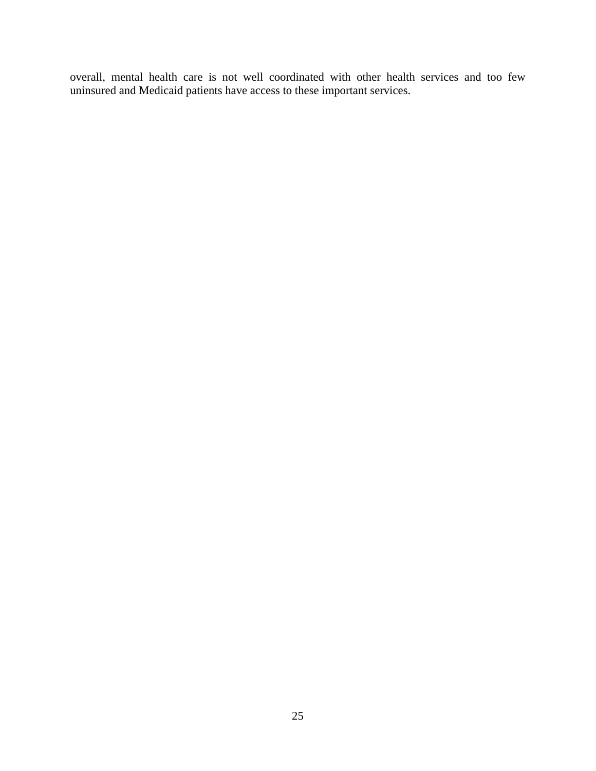overall, mental health care is not well coordinated with other health services and too few uninsured and Medicaid patients have access to these important services.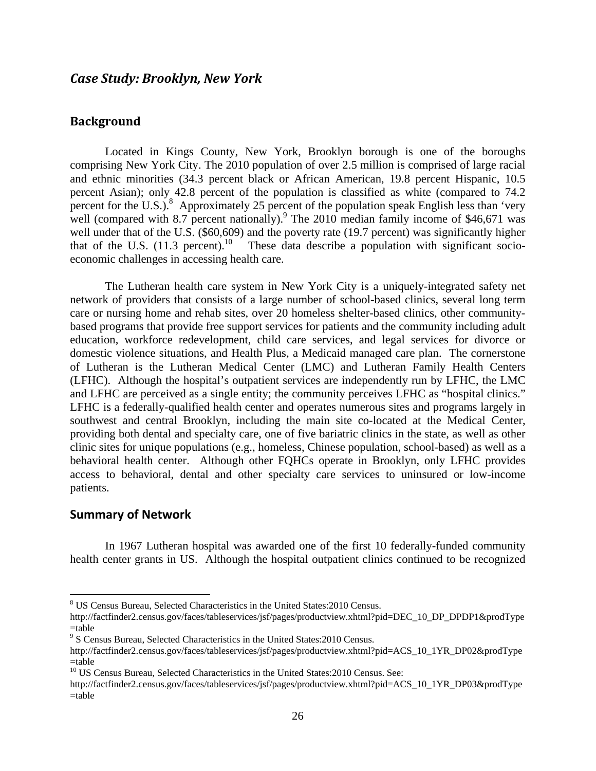## **Background**

Located in Kings County, New York, Brooklyn borough is one of the boroughs comprising New York City. The 2010 population of over 2.5 million is comprised of large racial and ethnic minorities (34.3 percent black or African American, 19.8 percent Hispanic, 10.5 percent Asian); only 42.8 percent of the population is classified as white (compared to 74.2 percent for the U.S.).<sup>8</sup> Approximately 25 percent of the population speak English less than 'very well (compared with  $8.7$  percent nationally).<sup>9</sup> The 2010 median family income of \$46,671 was well under that of the U.S. (\$60,609) and the poverty rate (19.7 percent) was significantly higher that of the U.S.  $(11.3 \text{ percent.}^{10})$  These data describe a population with significant socioeconomic challenges in accessing health care.

The Lutheran health care system in New York City is a uniquely-integrated safety net network of providers that consists of a large number of school-based clinics, several long term care or nursing home and rehab sites, over 20 homeless shelter-based clinics, other communitybased programs that provide free support services for patients and the community including adult education, workforce redevelopment, child care services, and legal services for divorce or domestic violence situations, and Health Plus, a Medicaid managed care plan. The cornerstone of Lutheran is the Lutheran Medical Center (LMC) and Lutheran Family Health Centers (LFHC). Although the hospital's outpatient services are independently run by LFHC, the LMC and LFHC are perceived as a single entity; the community perceives LFHC as "hospital clinics." LFHC is a federally-qualified health center and operates numerous sites and programs largely in southwest and central Brooklyn, including the main site co-located at the Medical Center, providing both dental and specialty care, one of five bariatric clinics in the state, as well as other clinic sites for unique populations (e.g., homeless, Chinese population, school-based) as well as a behavioral health center. Although other FQHCs operate in Brooklyn, only LFHC provides access to behavioral, dental and other specialty care services to uninsured or low-income patients.

#### **Summary of Network**

 $\overline{a}$ 

In 1967 Lutheran hospital was awarded one of the first 10 federally-funded community health center grants in US. Although the hospital outpatient clinics continued to be recognized

<sup>8</sup> US Census Bureau, Selected Characteristics in the United States:2010 Census.

http://factfinder2.census.gov/faces/tableservices/jsf/pages/productview.xhtml?pid=DEC\_10\_DP\_DPDP1&prodType =table

<sup>9</sup> S Census Bureau, Selected Characteristics in the United States:2010 Census.

http://factfinder2.census.gov/faces/tableservices/jsf/pages/productview.xhtml?pid=ACS\_10\_1YR\_DP02&prodType =table

<sup>&</sup>lt;sup>10</sup> US Census Bureau, Selected Characteristics in the United States: 2010 Census. See:

http://factfinder2.census.gov/faces/tableservices/jsf/pages/productview.xhtml?pid=ACS\_10\_1YR\_DP03&prodType =table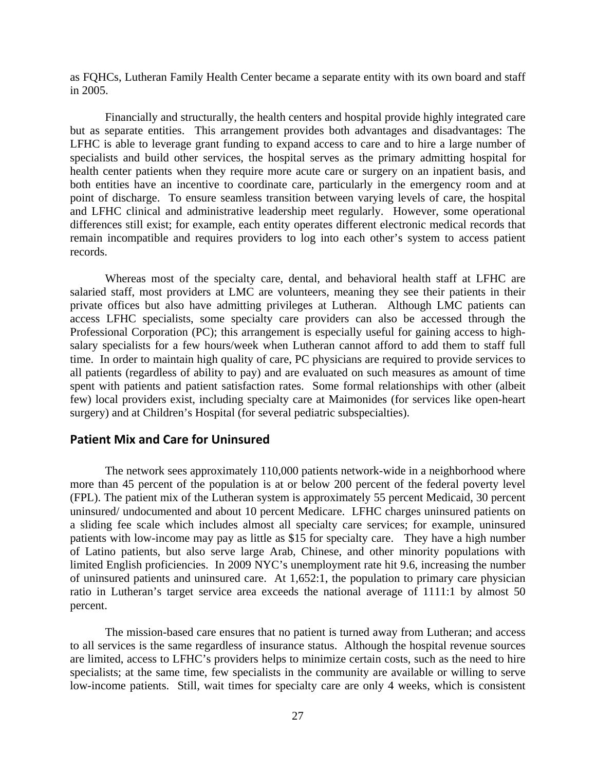as FQHCs, Lutheran Family Health Center became a separate entity with its own board and staff in 2005.

Financially and structurally, the health centers and hospital provide highly integrated care but as separate entities. This arrangement provides both advantages and disadvantages: The LFHC is able to leverage grant funding to expand access to care and to hire a large number of specialists and build other services, the hospital serves as the primary admitting hospital for health center patients when they require more acute care or surgery on an inpatient basis, and both entities have an incentive to coordinate care, particularly in the emergency room and at point of discharge. To ensure seamless transition between varying levels of care, the hospital and LFHC clinical and administrative leadership meet regularly. However, some operational differences still exist; for example, each entity operates different electronic medical records that remain incompatible and requires providers to log into each other's system to access patient records.

Whereas most of the specialty care, dental, and behavioral health staff at LFHC are salaried staff, most providers at LMC are volunteers, meaning they see their patients in their private offices but also have admitting privileges at Lutheran. Although LMC patients can access LFHC specialists, some specialty care providers can also be accessed through the Professional Corporation (PC); this arrangement is especially useful for gaining access to highsalary specialists for a few hours/week when Lutheran cannot afford to add them to staff full time. In order to maintain high quality of care, PC physicians are required to provide services to all patients (regardless of ability to pay) and are evaluated on such measures as amount of time spent with patients and patient satisfaction rates. Some formal relationships with other (albeit few) local providers exist, including specialty care at Maimonides (for services like open-heart surgery) and at Children's Hospital (for several pediatric subspecialties).

## **Patient Mix and Care for Uninsured**

The network sees approximately 110,000 patients network-wide in a neighborhood where more than 45 percent of the population is at or below 200 percent of the federal poverty level (FPL). The patient mix of the Lutheran system is approximately 55 percent Medicaid, 30 percent uninsured/ undocumented and about 10 percent Medicare. LFHC charges uninsured patients on a sliding fee scale which includes almost all specialty care services; for example, uninsured patients with low-income may pay as little as \$15 for specialty care. They have a high number of Latino patients, but also serve large Arab, Chinese, and other minority populations with limited English proficiencies. In 2009 NYC's unemployment rate hit 9.6, increasing the number of uninsured patients and uninsured care. At 1,652:1, the population to primary care physician ratio in Lutheran's target service area exceeds the national average of 1111:1 by almost 50 percent.

The mission-based care ensures that no patient is turned away from Lutheran; and access to all services is the same regardless of insurance status. Although the hospital revenue sources are limited, access to LFHC's providers helps to minimize certain costs, such as the need to hire specialists; at the same time, few specialists in the community are available or willing to serve low-income patients. Still, wait times for specialty care are only 4 weeks, which is consistent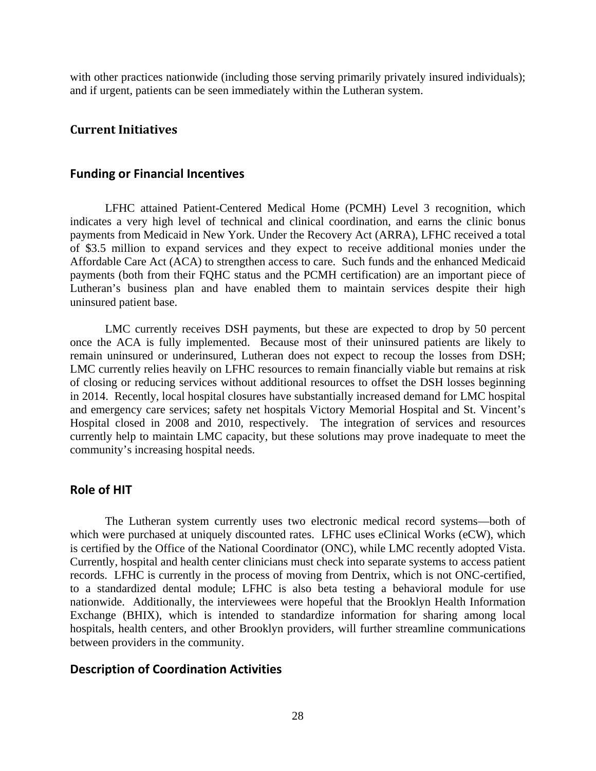with other practices nationwide (including those serving primarily privately insured individuals); and if urgent, patients can be seen immediately within the Lutheran system.

## **Current Initiatives**

#### **Funding or Financial Incentives**

LFHC attained Patient-Centered Medical Home (PCMH) Level 3 recognition, which indicates a very high level of technical and clinical coordination, and earns the clinic bonus payments from Medicaid in New York. Under the Recovery Act (ARRA), LFHC received a total of \$3.5 million to expand services and they expect to receive additional monies under the Affordable Care Act (ACA) to strengthen access to care. Such funds and the enhanced Medicaid payments (both from their FQHC status and the PCMH certification) are an important piece of Lutheran's business plan and have enabled them to maintain services despite their high uninsured patient base.

LMC currently receives DSH payments, but these are expected to drop by 50 percent once the ACA is fully implemented. Because most of their uninsured patients are likely to remain uninsured or underinsured, Lutheran does not expect to recoup the losses from DSH; LMC currently relies heavily on LFHC resources to remain financially viable but remains at risk of closing or reducing services without additional resources to offset the DSH losses beginning in 2014. Recently, local hospital closures have substantially increased demand for LMC hospital and emergency care services; safety net hospitals Victory Memorial Hospital and St. Vincent's Hospital closed in 2008 and 2010, respectively. The integration of services and resources currently help to maintain LMC capacity, but these solutions may prove inadequate to meet the community's increasing hospital needs.

#### **Role of HIT**

The Lutheran system currently uses two electronic medical record systems—both of which were purchased at uniquely discounted rates. LFHC uses eClinical Works (eCW), which is certified by the Office of the National Coordinator (ONC), while LMC recently adopted Vista. Currently, hospital and health center clinicians must check into separate systems to access patient records. LFHC is currently in the process of moving from Dentrix, which is not ONC-certified, to a standardized dental module; LFHC is also beta testing a behavioral module for use nationwide. Additionally, the interviewees were hopeful that the Brooklyn Health Information Exchange (BHIX), which is intended to standardize information for sharing among local hospitals, health centers, and other Brooklyn providers, will further streamline communications between providers in the community.

## **Description of Coordination Activities**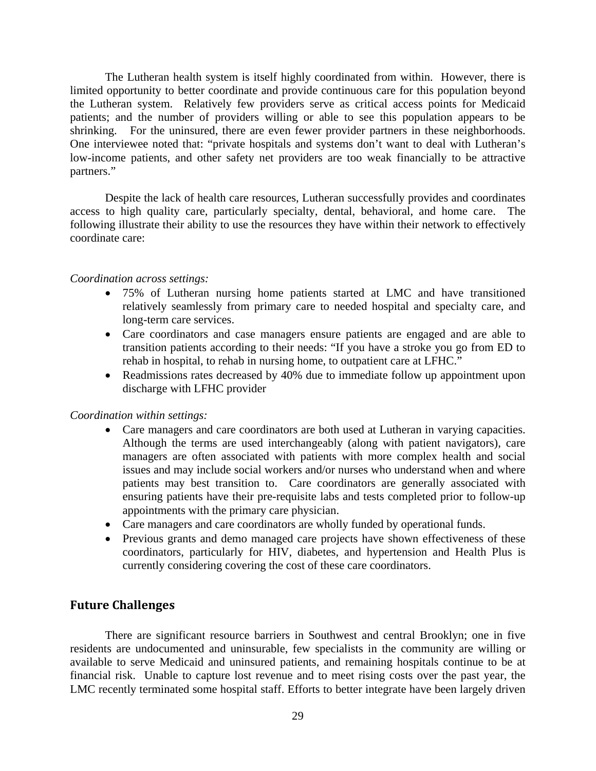The Lutheran health system is itself highly coordinated from within. However, there is limited opportunity to better coordinate and provide continuous care for this population beyond the Lutheran system. Relatively few providers serve as critical access points for Medicaid patients; and the number of providers willing or able to see this population appears to be shrinking. For the uninsured, there are even fewer provider partners in these neighborhoods. One interviewee noted that: "private hospitals and systems don't want to deal with Lutheran's low-income patients, and other safety net providers are too weak financially to be attractive partners."

Despite the lack of health care resources, Lutheran successfully provides and coordinates access to high quality care, particularly specialty, dental, behavioral, and home care. The following illustrate their ability to use the resources they have within their network to effectively coordinate care:

#### *Coordination across settings:*

- 75% of Lutheran nursing home patients started at LMC and have transitioned relatively seamlessly from primary care to needed hospital and specialty care, and long-term care services.
- Care coordinators and case managers ensure patients are engaged and are able to transition patients according to their needs: "If you have a stroke you go from ED to rehab in hospital, to rehab in nursing home, to outpatient care at LFHC."
- Readmissions rates decreased by 40% due to immediate follow up appointment upon discharge with LFHC provider

## *Coordination within settings:*

- Care managers and care coordinators are both used at Lutheran in varying capacities. Although the terms are used interchangeably (along with patient navigators), care managers are often associated with patients with more complex health and social issues and may include social workers and/or nurses who understand when and where patients may best transition to. Care coordinators are generally associated with ensuring patients have their pre-requisite labs and tests completed prior to follow-up appointments with the primary care physician.
- Care managers and care coordinators are wholly funded by operational funds.
- Previous grants and demo managed care projects have shown effectiveness of these coordinators, particularly for HIV, diabetes, and hypertension and Health Plus is currently considering covering the cost of these care coordinators.

## **Future Challenges**

There are significant resource barriers in Southwest and central Brooklyn; one in five residents are undocumented and uninsurable, few specialists in the community are willing or available to serve Medicaid and uninsured patients, and remaining hospitals continue to be at financial risk. Unable to capture lost revenue and to meet rising costs over the past year, the LMC recently terminated some hospital staff. Efforts to better integrate have been largely driven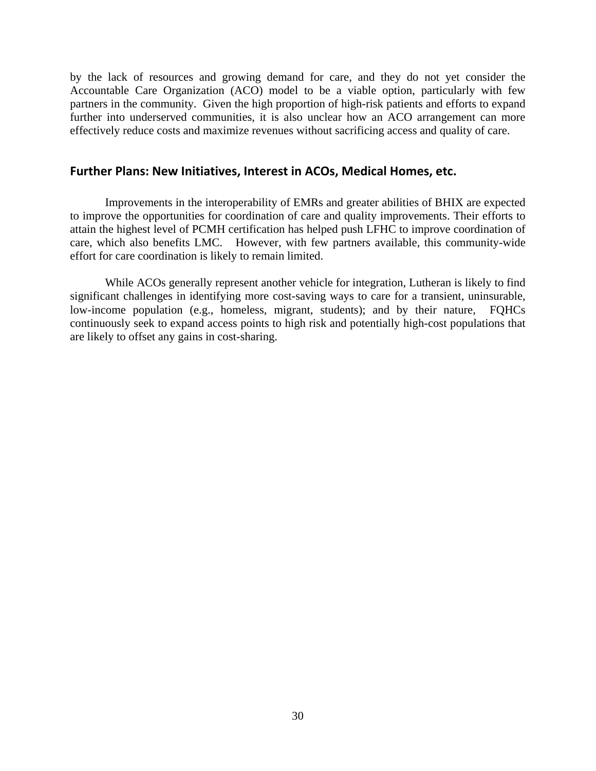by the lack of resources and growing demand for care, and they do not yet consider the Accountable Care Organization (ACO) model to be a viable option, particularly with few partners in the community. Given the high proportion of high-risk patients and efforts to expand further into underserved communities, it is also unclear how an ACO arrangement can more effectively reduce costs and maximize revenues without sacrificing access and quality of care.

#### **Further Plans: New Initiatives, Interest in ACOs, Medical Homes, etc.**

Improvements in the interoperability of EMRs and greater abilities of BHIX are expected to improve the opportunities for coordination of care and quality improvements. Their efforts to attain the highest level of PCMH certification has helped push LFHC to improve coordination of care, which also benefits LMC. However, with few partners available, this community-wide effort for care coordination is likely to remain limited.

While ACOs generally represent another vehicle for integration, Lutheran is likely to find significant challenges in identifying more cost-saving ways to care for a transient, uninsurable, low-income population (e.g., homeless, migrant, students); and by their nature, FQHCs continuously seek to expand access points to high risk and potentially high-cost populations that are likely to offset any gains in cost-sharing.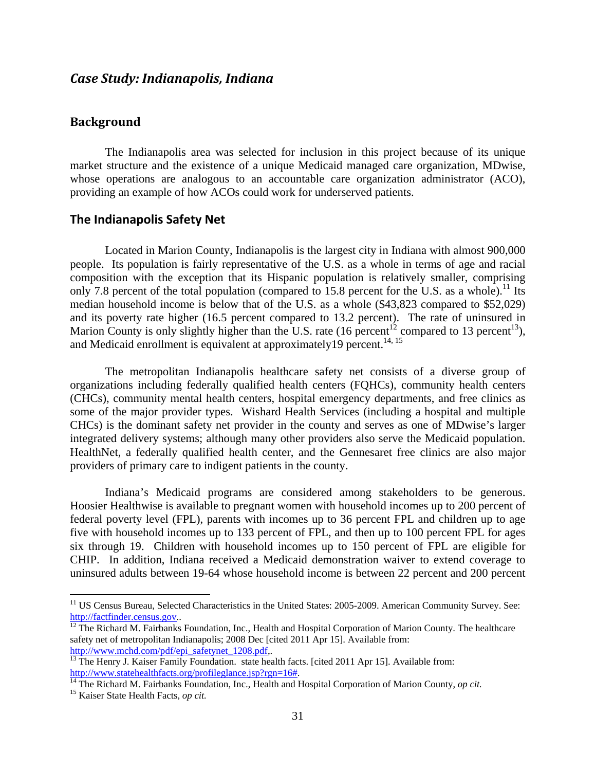## *Case Study: Indianapolis, Indiana*

## **Background**

The Indianapolis area was selected for inclusion in this project because of its unique market structure and the existence of a unique Medicaid managed care organization, MDwise, whose operations are analogous to an accountable care organization administrator (ACO), providing an example of how ACOs could work for underserved patients.

### **The Indianapolis Safety Net**

Located in Marion County, Indianapolis is the largest city in Indiana with almost 900,000 people. Its population is fairly representative of the U.S. as a whole in terms of age and racial composition with the exception that its Hispanic population is relatively smaller, comprising only 7.8 percent of the total population (compared to 15.8 percent for the U.S. as a whole).<sup>11</sup> Its median household income is below that of the U.S. as a whole (\$43,823 compared to \$52,029) and its poverty rate higher (16.5 percent compared to 13.2 percent). The rate of uninsured in Marion County is only slightly higher than the U.S. rate (16 percent<sup>12</sup> compared to 13 percent<sup>13</sup>), and Medicaid enrollment is equivalent at approximately 19 percent.<sup>14, 15</sup>

The metropolitan Indianapolis healthcare safety net consists of a diverse group of organizations including federally qualified health centers (FQHCs), community health centers (CHCs), community mental health centers, hospital emergency departments, and free clinics as some of the major provider types. Wishard Health Services (including a hospital and multiple CHCs) is the dominant safety net provider in the county and serves as one of MDwise's larger integrated delivery systems; although many other providers also serve the Medicaid population. HealthNet, a federally qualified health center, and the Gennesaret free clinics are also major providers of primary care to indigent patients in the county.

Indiana's Medicaid programs are considered among stakeholders to be generous. Hoosier Healthwise is available to pregnant women with household incomes up to 200 percent of federal poverty level (FPL), parents with incomes up to 36 percent FPL and children up to age five with household incomes up to 133 percent of FPL, and then up to 100 percent FPL for ages six through 19. Children with household incomes up to 150 percent of FPL are eligible for CHIP. In addition, Indiana received a Medicaid demonstration waiver to extend coverage to uninsured adults between 19-64 whose household income is between 22 percent and 200 percent

 $\overline{a}$ 

<sup>&</sup>lt;sup>11</sup> US Census Bureau, Selected Characteristics in the United States: 2005-2009. American Community Survey. See: http://factfinder.census.gov...<br><sup>12</sup> The Richard M. Fairbanks Foundation, Inc., Health and Hospital Corporation of Marion County. The healthcare

safety net of metropolitan Indianapolis; 2008 Dec [cited 2011 Apr 15]. Available from:

http://www.mchd.com/pdf/epi\_safetynet\_1208.pdf,.<br><sup>13</sup> The Henry J. Kaiser Family Foundation. state health facts. [cited 2011 Apr 15]. Available from:<br>http://www.statehealthfacts.org/profileglance.jsp?rgn=16#.

<sup>14</sup> The Richard M. Fairbanks Foundation, Inc., Health and Hospital Corporation of Marion County, *op cit.* 15 Kaiser State Health Facts, *op cit.*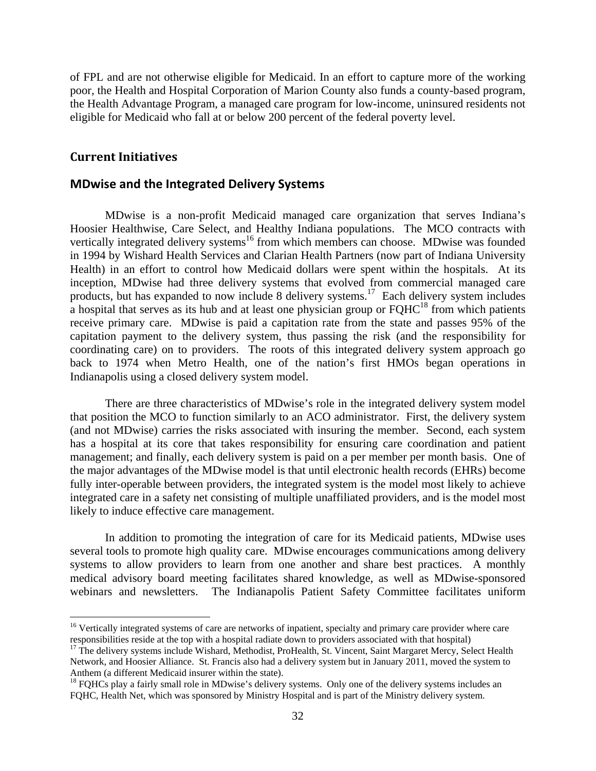of FPL and are not otherwise eligible for Medicaid. In an effort to capture more of the working poor, the Health and Hospital Corporation of Marion County also funds a county-based program, the Health Advantage Program, a managed care program for low-income, uninsured residents not eligible for Medicaid who fall at or below 200 percent of the federal poverty level.

## **Current Initiatives**

 $\overline{a}$ 

#### **MDwise and the Integrated Delivery Systems**

MDwise is a non-profit Medicaid managed care organization that serves Indiana's Hoosier Healthwise, Care Select, and Healthy Indiana populations. The MCO contracts with vertically integrated delivery systems<sup>16</sup> from which members can choose. MDwise was founded in 1994 by Wishard Health Services and Clarian Health Partners (now part of Indiana University Health) in an effort to control how Medicaid dollars were spent within the hospitals. At its inception, MDwise had three delivery systems that evolved from commercial managed care products, but has expanded to now include 8 delivery systems.17 Each delivery system includes a hospital that serves as its hub and at least one physician group or  $FQHC<sup>18</sup>$  from which patients receive primary care. MDwise is paid a capitation rate from the state and passes 95% of the capitation payment to the delivery system, thus passing the risk (and the responsibility for coordinating care) on to providers. The roots of this integrated delivery system approach go back to 1974 when Metro Health, one of the nation's first HMOs began operations in Indianapolis using a closed delivery system model.

There are three characteristics of MDwise's role in the integrated delivery system model that position the MCO to function similarly to an ACO administrator. First, the delivery system (and not MDwise) carries the risks associated with insuring the member. Second, each system has a hospital at its core that takes responsibility for ensuring care coordination and patient management; and finally, each delivery system is paid on a per member per month basis. One of the major advantages of the MDwise model is that until electronic health records (EHRs) become fully inter-operable between providers, the integrated system is the model most likely to achieve integrated care in a safety net consisting of multiple unaffiliated providers, and is the model most likely to induce effective care management.

In addition to promoting the integration of care for its Medicaid patients, MDwise uses several tools to promote high quality care. MDwise encourages communications among delivery systems to allow providers to learn from one another and share best practices. A monthly medical advisory board meeting facilitates shared knowledge, as well as MDwise-sponsored webinars and newsletters. The Indianapolis Patient Safety Committee facilitates uniform

<sup>&</sup>lt;sup>16</sup> Vertically integrated systems of care are networks of inpatient, specialty and primary care provider where care responsibilities reside at the top with a hospital radiate down to providers associated with that hospital)

<sup>&</sup>lt;sup>17</sup> The delivery systems include Wishard, Methodist, ProHealth, St. Vincent, Saint Margaret Mercy, Select Health Network, and Hoosier Alliance. St. Francis also had a delivery system but in January 2011, moved the system to Anthem (a different Medicaid insurer within the state).<br><sup>18</sup> FQHCs play a fairly small role in MDwise's delivery systems. Only one of the delivery systems includes an

FQHC, Health Net, which was sponsored by Ministry Hospital and is part of the Ministry delivery system.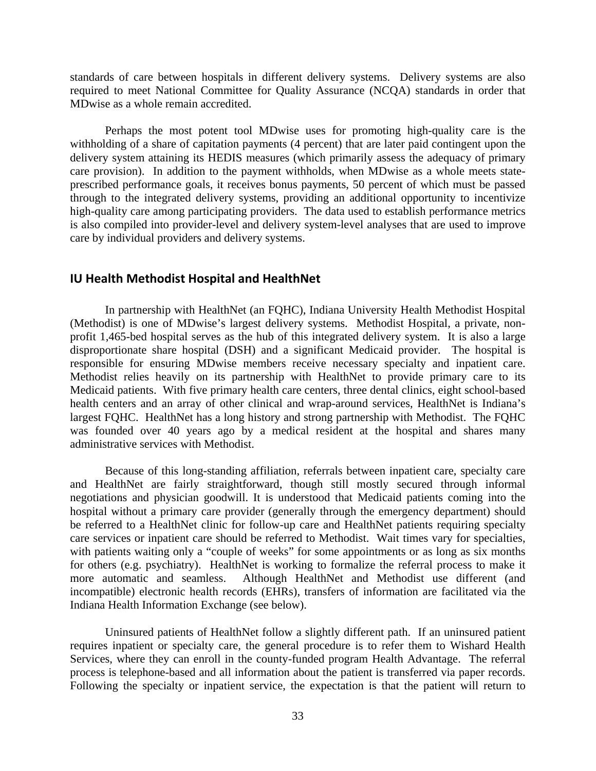standards of care between hospitals in different delivery systems. Delivery systems are also required to meet National Committee for Quality Assurance (NCQA) standards in order that MDwise as a whole remain accredited.

Perhaps the most potent tool MDwise uses for promoting high-quality care is the withholding of a share of capitation payments (4 percent) that are later paid contingent upon the delivery system attaining its HEDIS measures (which primarily assess the adequacy of primary care provision). In addition to the payment withholds, when MDwise as a whole meets stateprescribed performance goals, it receives bonus payments, 50 percent of which must be passed through to the integrated delivery systems, providing an additional opportunity to incentivize high-quality care among participating providers. The data used to establish performance metrics is also compiled into provider-level and delivery system-level analyses that are used to improve care by individual providers and delivery systems.

#### **IU Health Methodist Hospital and HealthNet**

In partnership with HealthNet (an FQHC), Indiana University Health Methodist Hospital (Methodist) is one of MDwise's largest delivery systems. Methodist Hospital, a private, nonprofit 1,465-bed hospital serves as the hub of this integrated delivery system. It is also a large disproportionate share hospital (DSH) and a significant Medicaid provider. The hospital is responsible for ensuring MDwise members receive necessary specialty and inpatient care. Methodist relies heavily on its partnership with HealthNet to provide primary care to its Medicaid patients. With five primary health care centers, three dental clinics, eight school-based health centers and an array of other clinical and wrap-around services, HealthNet is Indiana's largest FQHC. HealthNet has a long history and strong partnership with Methodist. The FQHC was founded over 40 years ago by a medical resident at the hospital and shares many administrative services with Methodist.

Because of this long-standing affiliation, referrals between inpatient care, specialty care and HealthNet are fairly straightforward, though still mostly secured through informal negotiations and physician goodwill. It is understood that Medicaid patients coming into the hospital without a primary care provider (generally through the emergency department) should be referred to a HealthNet clinic for follow-up care and HealthNet patients requiring specialty care services or inpatient care should be referred to Methodist. Wait times vary for specialties, with patients waiting only a "couple of weeks" for some appointments or as long as six months for others (e.g. psychiatry). HealthNet is working to formalize the referral process to make it more automatic and seamless. Although HealthNet and Methodist use different (and incompatible) electronic health records (EHRs), transfers of information are facilitated via the Indiana Health Information Exchange (see below).

Uninsured patients of HealthNet follow a slightly different path. If an uninsured patient requires inpatient or specialty care, the general procedure is to refer them to Wishard Health Services, where they can enroll in the county-funded program Health Advantage. The referral process is telephone-based and all information about the patient is transferred via paper records. Following the specialty or inpatient service, the expectation is that the patient will return to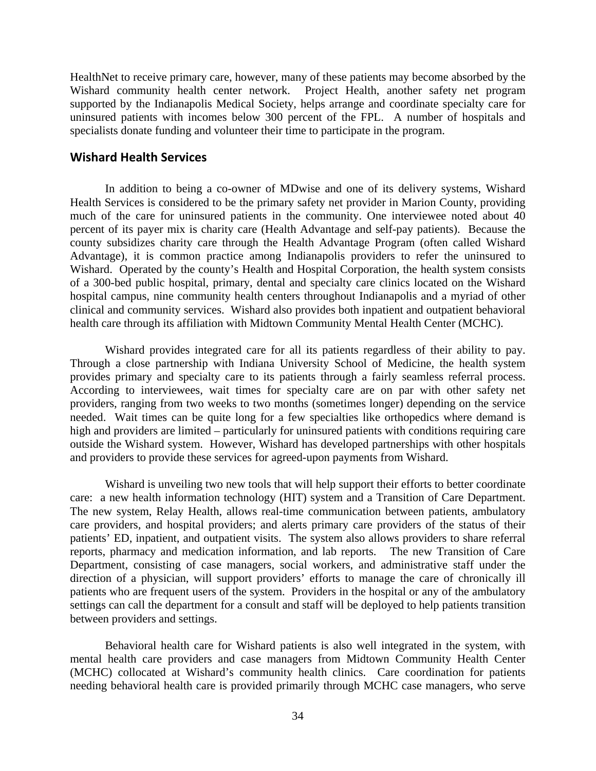HealthNet to receive primary care, however, many of these patients may become absorbed by the Wishard community health center network. Project Health, another safety net program supported by the Indianapolis Medical Society, helps arrange and coordinate specialty care for uninsured patients with incomes below 300 percent of the FPL. A number of hospitals and specialists donate funding and volunteer their time to participate in the program.

#### **Wishard Health Services**

In addition to being a co-owner of MDwise and one of its delivery systems, Wishard Health Services is considered to be the primary safety net provider in Marion County, providing much of the care for uninsured patients in the community. One interviewee noted about 40 percent of its payer mix is charity care (Health Advantage and self-pay patients). Because the county subsidizes charity care through the Health Advantage Program (often called Wishard Advantage), it is common practice among Indianapolis providers to refer the uninsured to Wishard. Operated by the county's Health and Hospital Corporation, the health system consists of a 300-bed public hospital, primary, dental and specialty care clinics located on the Wishard hospital campus, nine community health centers throughout Indianapolis and a myriad of other clinical and community services. Wishard also provides both inpatient and outpatient behavioral health care through its affiliation with Midtown Community Mental Health Center (MCHC).

Wishard provides integrated care for all its patients regardless of their ability to pay. Through a close partnership with Indiana University School of Medicine, the health system provides primary and specialty care to its patients through a fairly seamless referral process. According to interviewees, wait times for specialty care are on par with other safety net providers, ranging from two weeks to two months (sometimes longer) depending on the service needed. Wait times can be quite long for a few specialties like orthopedics where demand is high and providers are limited – particularly for uninsured patients with conditions requiring care outside the Wishard system. However, Wishard has developed partnerships with other hospitals and providers to provide these services for agreed-upon payments from Wishard.

Wishard is unveiling two new tools that will help support their efforts to better coordinate care: a new health information technology (HIT) system and a Transition of Care Department. The new system, Relay Health, allows real-time communication between patients, ambulatory care providers, and hospital providers; and alerts primary care providers of the status of their patients' ED, inpatient, and outpatient visits. The system also allows providers to share referral reports, pharmacy and medication information, and lab reports. The new Transition of Care Department, consisting of case managers, social workers, and administrative staff under the direction of a physician, will support providers' efforts to manage the care of chronically ill patients who are frequent users of the system. Providers in the hospital or any of the ambulatory settings can call the department for a consult and staff will be deployed to help patients transition between providers and settings.

Behavioral health care for Wishard patients is also well integrated in the system, with mental health care providers and case managers from Midtown Community Health Center (MCHC) collocated at Wishard's community health clinics. Care coordination for patients needing behavioral health care is provided primarily through MCHC case managers, who serve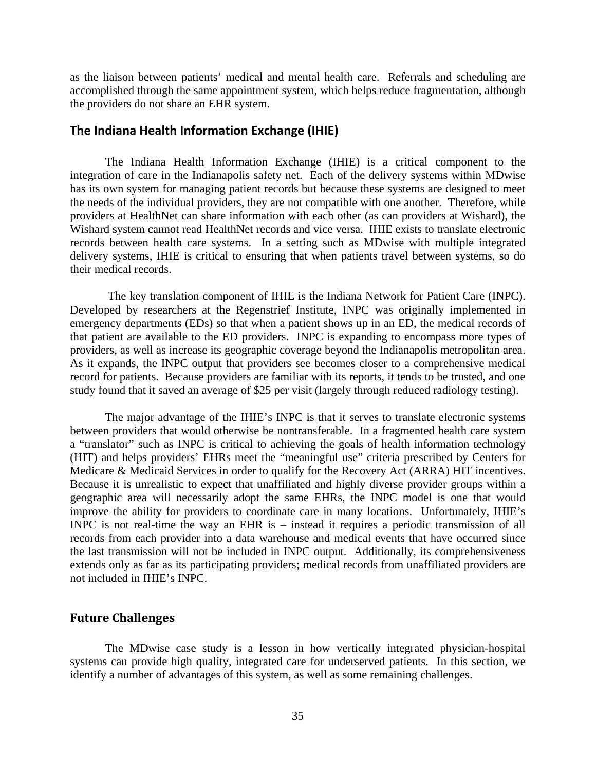as the liaison between patients' medical and mental health care. Referrals and scheduling are accomplished through the same appointment system, which helps reduce fragmentation, although the providers do not share an EHR system.

#### **The Indiana Health Information Exchange (IHIE)**

The Indiana Health Information Exchange (IHIE) is a critical component to the integration of care in the Indianapolis safety net. Each of the delivery systems within MDwise has its own system for managing patient records but because these systems are designed to meet the needs of the individual providers, they are not compatible with one another. Therefore, while providers at HealthNet can share information with each other (as can providers at Wishard), the Wishard system cannot read HealthNet records and vice versa. IHIE exists to translate electronic records between health care systems. In a setting such as MDwise with multiple integrated delivery systems, IHIE is critical to ensuring that when patients travel between systems, so do their medical records.

 The key translation component of IHIE is the Indiana Network for Patient Care (INPC). Developed by researchers at the Regenstrief Institute, INPC was originally implemented in emergency departments (EDs) so that when a patient shows up in an ED, the medical records of that patient are available to the ED providers. INPC is expanding to encompass more types of providers, as well as increase its geographic coverage beyond the Indianapolis metropolitan area. As it expands, the INPC output that providers see becomes closer to a comprehensive medical record for patients. Because providers are familiar with its reports, it tends to be trusted, and one study found that it saved an average of \$25 per visit (largely through reduced radiology testing).

The major advantage of the IHIE's INPC is that it serves to translate electronic systems between providers that would otherwise be nontransferable. In a fragmented health care system a "translator" such as INPC is critical to achieving the goals of health information technology (HIT) and helps providers' EHRs meet the "meaningful use" criteria prescribed by Centers for Medicare & Medicaid Services in order to qualify for the Recovery Act (ARRA) HIT incentives. Because it is unrealistic to expect that unaffiliated and highly diverse provider groups within a geographic area will necessarily adopt the same EHRs, the INPC model is one that would improve the ability for providers to coordinate care in many locations. Unfortunately, IHIE's INPC is not real-time the way an EHR is – instead it requires a periodic transmission of all records from each provider into a data warehouse and medical events that have occurred since the last transmission will not be included in INPC output. Additionally, its comprehensiveness extends only as far as its participating providers; medical records from unaffiliated providers are not included in IHIE's INPC.

#### **Future Challenges**

The MDwise case study is a lesson in how vertically integrated physician-hospital systems can provide high quality, integrated care for underserved patients. In this section, we identify a number of advantages of this system, as well as some remaining challenges.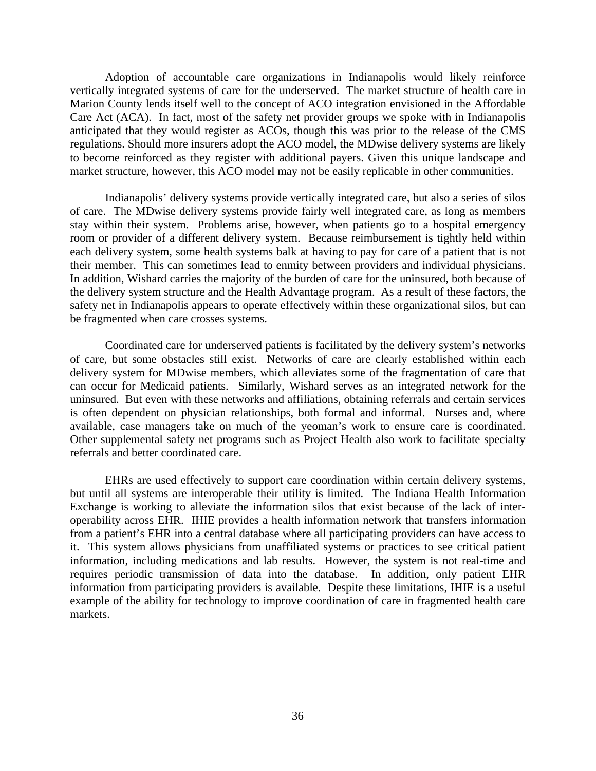Adoption of accountable care organizations in Indianapolis would likely reinforce vertically integrated systems of care for the underserved.The market structure of health care in Marion County lends itself well to the concept of ACO integration envisioned in the Affordable Care Act (ACA). In fact, most of the safety net provider groups we spoke with in Indianapolis anticipated that they would register as ACOs, though this was prior to the release of the CMS regulations. Should more insurers adopt the ACO model, the MDwise delivery systems are likely to become reinforced as they register with additional payers. Given this unique landscape and market structure, however, this ACO model may not be easily replicable in other communities.

Indianapolis' delivery systems provide vertically integrated care, but also a series of silos of care. The MDwise delivery systems provide fairly well integrated care, as long as members stay within their system. Problems arise, however, when patients go to a hospital emergency room or provider of a different delivery system. Because reimbursement is tightly held within each delivery system, some health systems balk at having to pay for care of a patient that is not their member. This can sometimes lead to enmity between providers and individual physicians. In addition, Wishard carries the majority of the burden of care for the uninsured, both because of the delivery system structure and the Health Advantage program. As a result of these factors, the safety net in Indianapolis appears to operate effectively within these organizational silos, but can be fragmented when care crosses systems.

Coordinated care for underserved patients is facilitated by the delivery system's networks of care, but some obstacles still exist. Networks of care are clearly established within each delivery system for MDwise members, which alleviates some of the fragmentation of care that can occur for Medicaid patients. Similarly, Wishard serves as an integrated network for the uninsured. But even with these networks and affiliations, obtaining referrals and certain services is often dependent on physician relationships, both formal and informal. Nurses and, where available, case managers take on much of the yeoman's work to ensure care is coordinated. Other supplemental safety net programs such as Project Health also work to facilitate specialty referrals and better coordinated care.

EHRs are used effectively to support care coordination within certain delivery systems, but until all systems are interoperable their utility is limited. The Indiana Health Information Exchange is working to alleviate the information silos that exist because of the lack of interoperability across EHR. IHIE provides a health information network that transfers information from a patient's EHR into a central database where all participating providers can have access to it. This system allows physicians from unaffiliated systems or practices to see critical patient information, including medications and lab results. However, the system is not real-time and requires periodic transmission of data into the database. In addition, only patient EHR information from participating providers is available. Despite these limitations, IHIE is a useful example of the ability for technology to improve coordination of care in fragmented health care markets.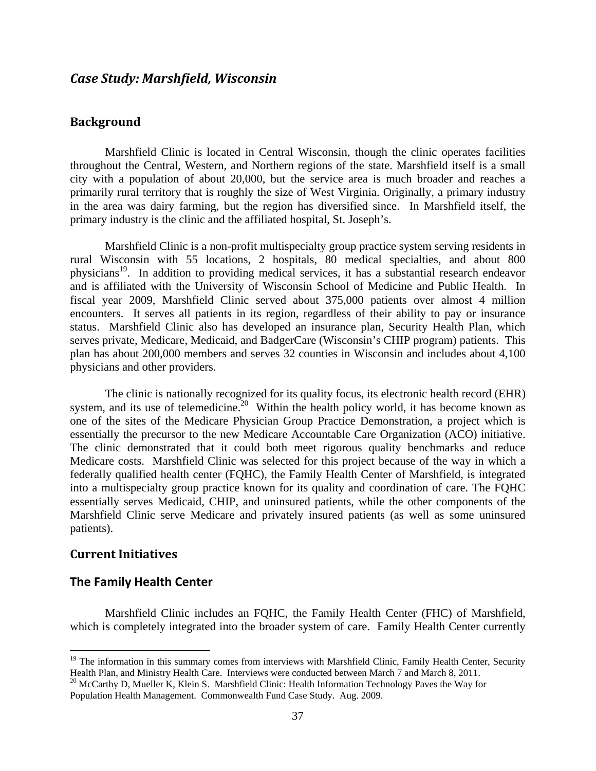## *Case Study: Marshfield, Wisconsin*

## **Background**

Marshfield Clinic is located in Central Wisconsin, though the clinic operates facilities throughout the Central, Western, and Northern regions of the state. Marshfield itself is a small city with a population of about 20,000, but the service area is much broader and reaches a primarily rural territory that is roughly the size of West Virginia. Originally, a primary industry in the area was dairy farming, but the region has diversified since. In Marshfield itself, the primary industry is the clinic and the affiliated hospital, St. Joseph's.

Marshfield Clinic is a non-profit multispecialty group practice system serving residents in rural Wisconsin with 55 locations, 2 hospitals, 80 medical specialties, and about 800 physicians<sup>19</sup>. In addition to providing medical services, it has a substantial research endeavor and is affiliated with the University of Wisconsin School of Medicine and Public Health. In fiscal year 2009, Marshfield Clinic served about 375,000 patients over almost 4 million encounters. It serves all patients in its region, regardless of their ability to pay or insurance status. Marshfield Clinic also has developed an insurance plan, Security Health Plan, which serves private, Medicare, Medicaid, and BadgerCare (Wisconsin's CHIP program) patients. This plan has about 200,000 members and serves 32 counties in Wisconsin and includes about 4,100 physicians and other providers.

The clinic is nationally recognized for its quality focus, its electronic health record (EHR) system, and its use of telemedicine.<sup>20</sup> Within the health policy world, it has become known as one of the sites of the Medicare Physician Group Practice Demonstration, a project which is essentially the precursor to the new Medicare Accountable Care Organization (ACO) initiative. The clinic demonstrated that it could both meet rigorous quality benchmarks and reduce Medicare costs. Marshfield Clinic was selected for this project because of the way in which a federally qualified health center (FQHC), the Family Health Center of Marshfield, is integrated into a multispecialty group practice known for its quality and coordination of care. The FQHC essentially serves Medicaid, CHIP, and uninsured patients, while the other components of the Marshfield Clinic serve Medicare and privately insured patients (as well as some uninsured patients).

#### **Current Initiatives**

 $\overline{a}$ 

## **The Family Health Center**

Marshfield Clinic includes an FQHC, the Family Health Center (FHC) of Marshfield, which is completely integrated into the broader system of care. Family Health Center currently

<sup>&</sup>lt;sup>19</sup> The information in this summary comes from interviews with Marshfield Clinic, Family Health Center, Security Health Plan, and Ministry Health Care. Interviews were conducted between March 7 and March 8, 2011.

<sup>&</sup>lt;sup>20</sup> McCarthy D, Mueller K, Klein S. Marshfield Clinic: Health Information Technology Paves the Way for Population Health Management. Commonwealth Fund Case Study. Aug. 2009.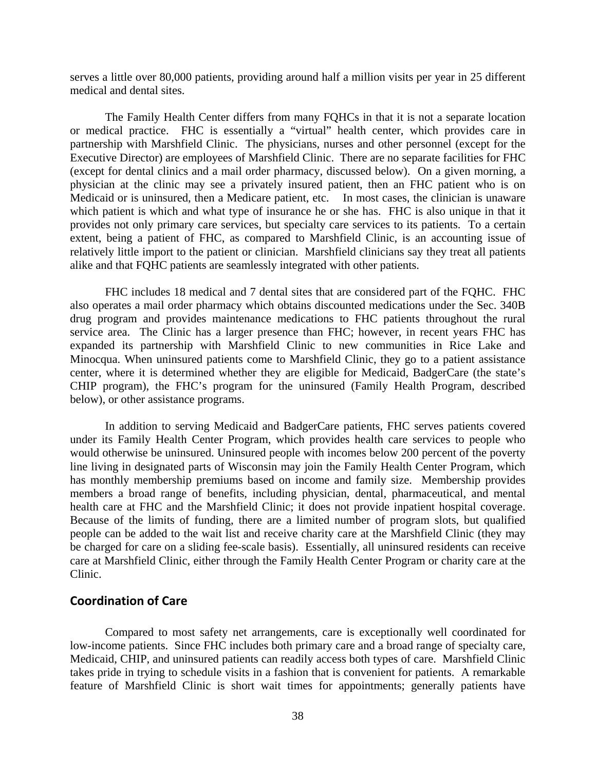serves a little over 80,000 patients, providing around half a million visits per year in 25 different medical and dental sites.

The Family Health Center differs from many FQHCs in that it is not a separate location or medical practice. FHC is essentially a "virtual" health center, which provides care in partnership with Marshfield Clinic. The physicians, nurses and other personnel (except for the Executive Director) are employees of Marshfield Clinic. There are no separate facilities for FHC (except for dental clinics and a mail order pharmacy, discussed below). On a given morning, a physician at the clinic may see a privately insured patient, then an FHC patient who is on Medicaid or is uninsured, then a Medicare patient, etc. In most cases, the clinician is unaware which patient is which and what type of insurance he or she has. FHC is also unique in that it provides not only primary care services, but specialty care services to its patients. To a certain extent, being a patient of FHC, as compared to Marshfield Clinic, is an accounting issue of relatively little import to the patient or clinician. Marshfield clinicians say they treat all patients alike and that FQHC patients are seamlessly integrated with other patients.

FHC includes 18 medical and 7 dental sites that are considered part of the FQHC. FHC also operates a mail order pharmacy which obtains discounted medications under the Sec. 340B drug program and provides maintenance medications to FHC patients throughout the rural service area. The Clinic has a larger presence than FHC; however, in recent years FHC has expanded its partnership with Marshfield Clinic to new communities in Rice Lake and Minocqua. When uninsured patients come to Marshfield Clinic, they go to a patient assistance center, where it is determined whether they are eligible for Medicaid, BadgerCare (the state's CHIP program), the FHC's program for the uninsured (Family Health Program, described below), or other assistance programs.

In addition to serving Medicaid and BadgerCare patients, FHC serves patients covered under its Family Health Center Program, which provides health care services to people who would otherwise be uninsured. Uninsured people with incomes below 200 percent of the poverty line living in designated parts of Wisconsin may join the Family Health Center Program, which has monthly membership premiums based on income and family size. Membership provides members a broad range of benefits, including physician, dental, pharmaceutical, and mental health care at FHC and the Marshfield Clinic; it does not provide inpatient hospital coverage. Because of the limits of funding, there are a limited number of program slots, but qualified people can be added to the wait list and receive charity care at the Marshfield Clinic (they may be charged for care on a sliding fee-scale basis). Essentially, all uninsured residents can receive care at Marshfield Clinic, either through the Family Health Center Program or charity care at the Clinic.

## **Coordination of Care**

Compared to most safety net arrangements, care is exceptionally well coordinated for low-income patients. Since FHC includes both primary care and a broad range of specialty care, Medicaid, CHIP, and uninsured patients can readily access both types of care. Marshfield Clinic takes pride in trying to schedule visits in a fashion that is convenient for patients. A remarkable feature of Marshfield Clinic is short wait times for appointments; generally patients have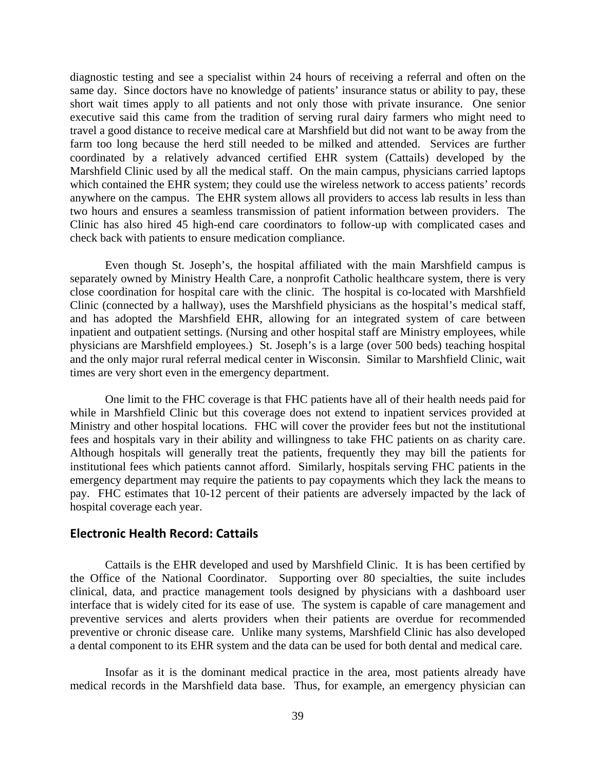diagnostic testing and see a specialist within 24 hours of receiving a referral and often on the same day. Since doctors have no knowledge of patients' insurance status or ability to pay, these short wait times apply to all patients and not only those with private insurance. One senior executive said this came from the tradition of serving rural dairy farmers who might need to travel a good distance to receive medical care at Marshfield but did not want to be away from the farm too long because the herd still needed to be milked and attended. Services are further coordinated by a relatively advanced certified EHR system (Cattails) developed by the Marshfield Clinic used by all the medical staff. On the main campus, physicians carried laptops which contained the EHR system; they could use the wireless network to access patients' records anywhere on the campus. The EHR system allows all providers to access lab results in less than two hours and ensures a seamless transmission of patient information between providers. The Clinic has also hired 45 high-end care coordinators to follow-up with complicated cases and check back with patients to ensure medication compliance.

Even though St. Joseph's, the hospital affiliated with the main Marshfield campus is separately owned by Ministry Health Care, a nonprofit Catholic healthcare system, there is very close coordination for hospital care with the clinic. The hospital is co-located with Marshfield Clinic (connected by a hallway), uses the Marshfield physicians as the hospital's medical staff, and has adopted the Marshfield EHR, allowing for an integrated system of care between inpatient and outpatient settings. (Nursing and other hospital staff are Ministry employees, while physicians are Marshfield employees.) St. Joseph's is a large (over 500 beds) teaching hospital and the only major rural referral medical center in Wisconsin. Similar to Marshfield Clinic, wait times are very short even in the emergency department.

One limit to the FHC coverage is that FHC patients have all of their health needs paid for while in Marshfield Clinic but this coverage does not extend to inpatient services provided at Ministry and other hospital locations. FHC will cover the provider fees but not the institutional fees and hospitals vary in their ability and willingness to take FHC patients on as charity care. Although hospitals will generally treat the patients, frequently they may bill the patients for institutional fees which patients cannot afford. Similarly, hospitals serving FHC patients in the emergency department may require the patients to pay copayments which they lack the means to pay. FHC estimates that 10-12 percent of their patients are adversely impacted by the lack of hospital coverage each year.

#### **Electronic Health Record: Cattails**

Cattails is the EHR developed and used by Marshfield Clinic. It is has been certified by the Office of the National Coordinator. Supporting over 80 specialties, the suite includes clinical, data, and practice management tools designed by physicians with a dashboard user interface that is widely cited for its ease of use. The system is capable of care management and preventive services and alerts providers when their patients are overdue for recommended preventive or chronic disease care. Unlike many systems, Marshfield Clinic has also developed a dental component to its EHR system and the data can be used for both dental and medical care.

Insofar as it is the dominant medical practice in the area, most patients already have medical records in the Marshfield data base. Thus, for example, an emergency physician can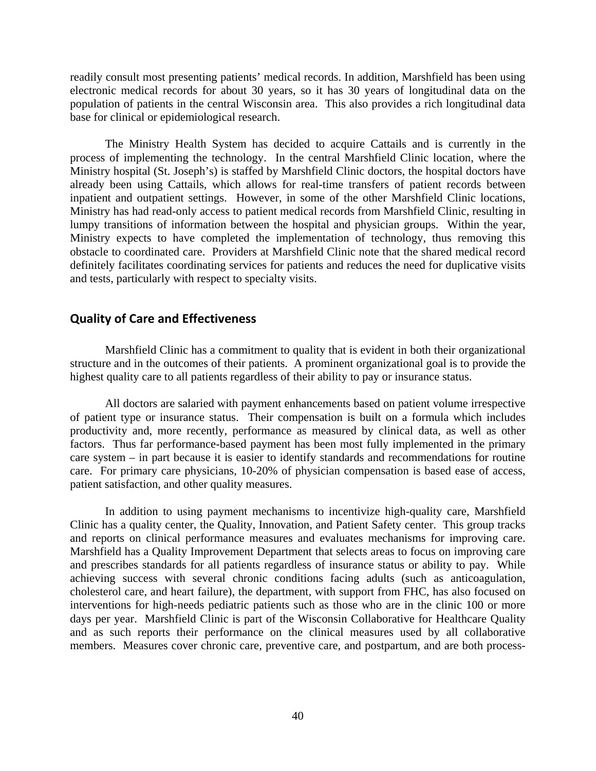readily consult most presenting patients' medical records. In addition, Marshfield has been using electronic medical records for about 30 years, so it has 30 years of longitudinal data on the population of patients in the central Wisconsin area. This also provides a rich longitudinal data base for clinical or epidemiological research.

The Ministry Health System has decided to acquire Cattails and is currently in the process of implementing the technology. In the central Marshfield Clinic location, where the Ministry hospital (St. Joseph's) is staffed by Marshfield Clinic doctors, the hospital doctors have already been using Cattails, which allows for real-time transfers of patient records between inpatient and outpatient settings. However, in some of the other Marshfield Clinic locations, Ministry has had read-only access to patient medical records from Marshfield Clinic, resulting in lumpy transitions of information between the hospital and physician groups. Within the year, Ministry expects to have completed the implementation of technology, thus removing this obstacle to coordinated care. Providers at Marshfield Clinic note that the shared medical record definitely facilitates coordinating services for patients and reduces the need for duplicative visits and tests, particularly with respect to specialty visits.

## **Quality of Care and Effectiveness**

Marshfield Clinic has a commitment to quality that is evident in both their organizational structure and in the outcomes of their patients. A prominent organizational goal is to provide the highest quality care to all patients regardless of their ability to pay or insurance status.

All doctors are salaried with payment enhancements based on patient volume irrespective of patient type or insurance status. Their compensation is built on a formula which includes productivity and, more recently, performance as measured by clinical data, as well as other factors. Thus far performance-based payment has been most fully implemented in the primary care system – in part because it is easier to identify standards and recommendations for routine care. For primary care physicians, 10-20% of physician compensation is based ease of access, patient satisfaction, and other quality measures.

In addition to using payment mechanisms to incentivize high-quality care, Marshfield Clinic has a quality center, the Quality, Innovation, and Patient Safety center. This group tracks and reports on clinical performance measures and evaluates mechanisms for improving care. Marshfield has a Quality Improvement Department that selects areas to focus on improving care and prescribes standards for all patients regardless of insurance status or ability to pay. While achieving success with several chronic conditions facing adults (such as anticoagulation, cholesterol care, and heart failure), the department, with support from FHC, has also focused on interventions for high-needs pediatric patients such as those who are in the clinic 100 or more days per year. Marshfield Clinic is part of the Wisconsin Collaborative for Healthcare Quality and as such reports their performance on the clinical measures used by all collaborative members. Measures cover chronic care, preventive care, and postpartum, and are both process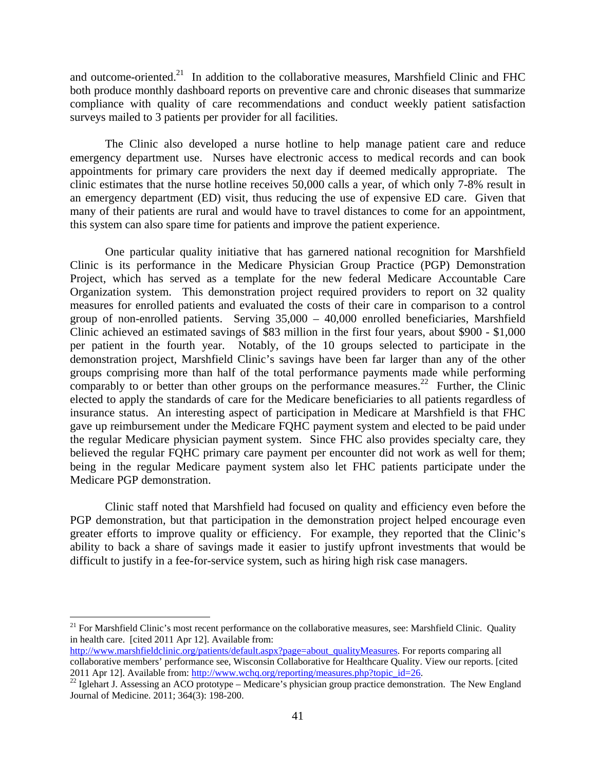and outcome-oriented.<sup>21</sup> In addition to the collaborative measures, Marshfield Clinic and FHC both produce monthly dashboard reports on preventive care and chronic diseases that summarize compliance with quality of care recommendations and conduct weekly patient satisfaction surveys mailed to 3 patients per provider for all facilities.

The Clinic also developed a nurse hotline to help manage patient care and reduce emergency department use. Nurses have electronic access to medical records and can book appointments for primary care providers the next day if deemed medically appropriate. The clinic estimates that the nurse hotline receives 50,000 calls a year, of which only 7-8% result in an emergency department (ED) visit, thus reducing the use of expensive ED care. Given that many of their patients are rural and would have to travel distances to come for an appointment, this system can also spare time for patients and improve the patient experience.

One particular quality initiative that has garnered national recognition for Marshfield Clinic is its performance in the Medicare Physician Group Practice (PGP) Demonstration Project, which has served as a template for the new federal Medicare Accountable Care Organization system. This demonstration project required providers to report on 32 quality measures for enrolled patients and evaluated the costs of their care in comparison to a control group of non-enrolled patients. Serving 35,000 – 40,000 enrolled beneficiaries, Marshfield Clinic achieved an estimated savings of \$83 million in the first four years, about \$900 - \$1,000 per patient in the fourth year. Notably, of the 10 groups selected to participate in the demonstration project, Marshfield Clinic's savings have been far larger than any of the other groups comprising more than half of the total performance payments made while performing comparably to or better than other groups on the performance measures.<sup>22</sup> Further, the Clinic elected to apply the standards of care for the Medicare beneficiaries to all patients regardless of insurance status. An interesting aspect of participation in Medicare at Marshfield is that FHC gave up reimbursement under the Medicare FQHC payment system and elected to be paid under the regular Medicare physician payment system. Since FHC also provides specialty care, they believed the regular FQHC primary care payment per encounter did not work as well for them; being in the regular Medicare payment system also let FHC patients participate under the Medicare PGP demonstration.

Clinic staff noted that Marshfield had focused on quality and efficiency even before the PGP demonstration, but that participation in the demonstration project helped encourage even greater efforts to improve quality or efficiency. For example, they reported that the Clinic's ability to back a share of savings made it easier to justify upfront investments that would be difficult to justify in a fee-for-service system, such as hiring high risk case managers.

 $\overline{a}$ 

 $21$  For Marshfield Clinic's most recent performance on the collaborative measures, see: Marshfield Clinic. Quality in health care. [cited 2011 Apr 12]. Available from:

http://www.marshfieldclinic.org/patients/default.aspx?page=about\_qualityMeasures. For reports comparing all collaborative members' performance see, Wisconsin Collaborative for Healthcare Quality. View our reports. [cited 2011 Apr 12]. Available from: http://www.wchq.org/reporting/measures.php?topic\_id=26.<br><sup>22</sup> Iglehart J. Assessing an ACO prototype – Medicare's physician group practice demonstration. The New England

Journal of Medicine. 2011; 364(3): 198-200.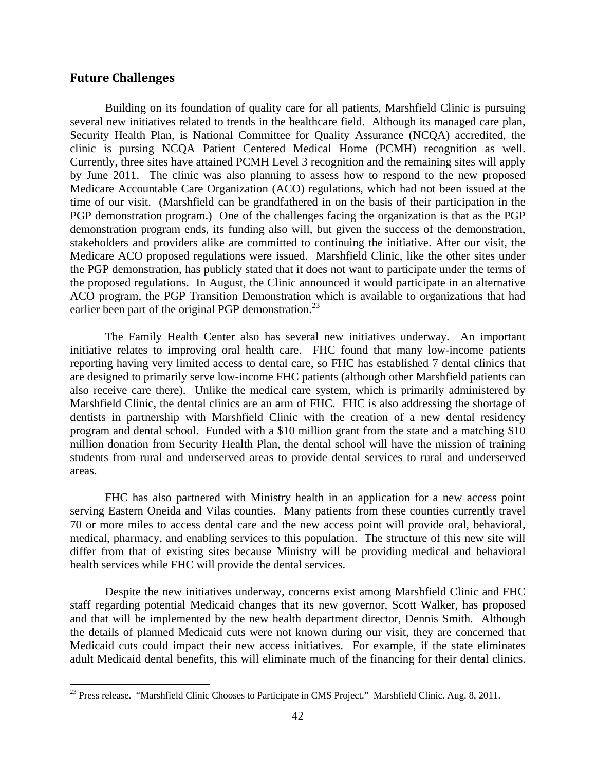## **Future Challenges**

 $\overline{a}$ 

Building on its foundation of quality care for all patients, Marshfield Clinic is pursuing several new initiatives related to trends in the healthcare field. Although its managed care plan, Security Health Plan, is National Committee for Quality Assurance (NCQA) accredited, the clinic is pursing NCQA Patient Centered Medical Home (PCMH) recognition as well. Currently, three sites have attained PCMH Level 3 recognition and the remaining sites will apply by June 2011. The clinic was also planning to assess how to respond to the new proposed Medicare Accountable Care Organization (ACO) regulations, which had not been issued at the time of our visit. (Marshfield can be grandfathered in on the basis of their participation in the PGP demonstration program.) One of the challenges facing the organization is that as the PGP demonstration program ends, its funding also will, but given the success of the demonstration, stakeholders and providers alike are committed to continuing the initiative. After our visit, the Medicare ACO proposed regulations were issued. Marshfield Clinic, like the other sites under the PGP demonstration, has publicly stated that it does not want to participate under the terms of the proposed regulations. In August, the Clinic announced it would participate in an alternative ACO program, the PGP Transition Demonstration which is available to organizations that had earlier been part of the original PGP demonstration.<sup>23</sup>

The Family Health Center also has several new initiatives underway. An important initiative relates to improving oral health care. FHC found that many low-income patients reporting having very limited access to dental care, so FHC has established 7 dental clinics that are designed to primarily serve low-income FHC patients (although other Marshfield patients can also receive care there). Unlike the medical care system, which is primarily administered by Marshfield Clinic, the dental clinics are an arm of FHC. FHC is also addressing the shortage of dentists in partnership with Marshfield Clinic with the creation of a new dental residency program and dental school. Funded with a \$10 million grant from the state and a matching \$10 million donation from Security Health Plan, the dental school will have the mission of training students from rural and underserved areas to provide dental services to rural and underserved areas.

FHC has also partnered with Ministry health in an application for a new access point serving Eastern Oneida and Vilas counties. Many patients from these counties currently travel 70 or more miles to access dental care and the new access point will provide oral, behavioral, medical, pharmacy, and enabling services to this population. The structure of this new site will differ from that of existing sites because Ministry will be providing medical and behavioral health services while FHC will provide the dental services.

Despite the new initiatives underway, concerns exist among Marshfield Clinic and FHC staff regarding potential Medicaid changes that its new governor, Scott Walker, has proposed and that will be implemented by the new health department director, Dennis Smith. Although the details of planned Medicaid cuts were not known during our visit, they are concerned that Medicaid cuts could impact their new access initiatives. For example, if the state eliminates adult Medicaid dental benefits, this will eliminate much of the financing for their dental clinics.

<sup>&</sup>lt;sup>23</sup> Press release. "Marshfield Clinic Chooses to Participate in CMS Project." Marshfield Clinic. Aug. 8, 2011.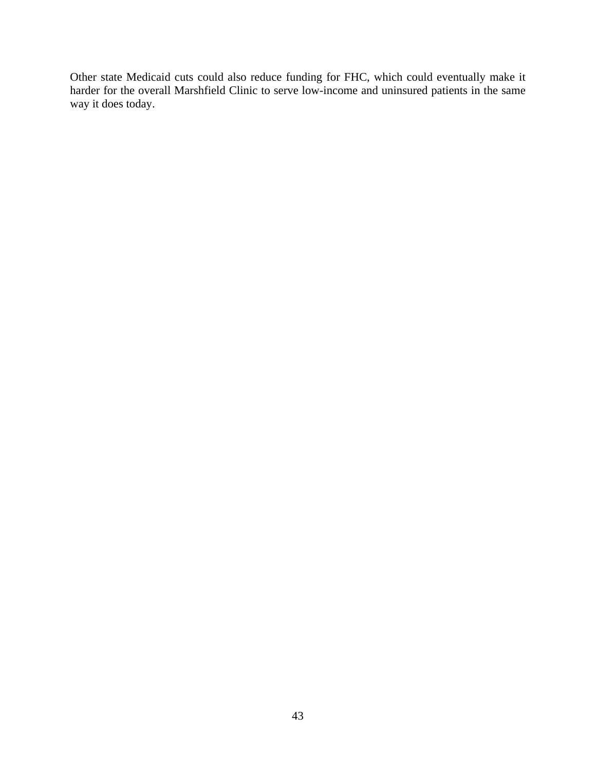Other state Medicaid cuts could also reduce funding for FHC, which could eventually make it harder for the overall Marshfield Clinic to serve low-income and uninsured patients in the same way it does today.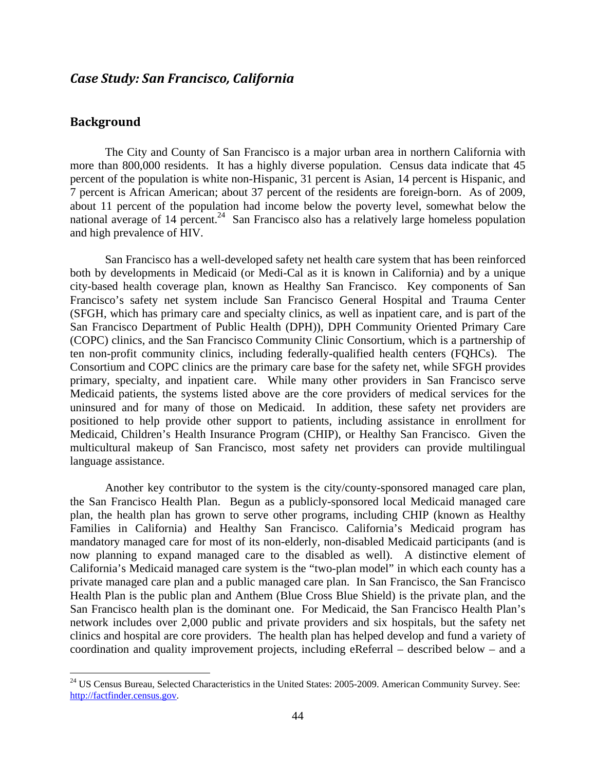## *Case Study: San Francisco, California*

## **Background**

 $\overline{a}$ 

The City and County of San Francisco is a major urban area in northern California with more than 800,000 residents. It has a highly diverse population. Census data indicate that 45 percent of the population is white non-Hispanic, 31 percent is Asian, 14 percent is Hispanic, and 7 percent is African American; about 37 percent of the residents are foreign-born. As of 2009, about 11 percent of the population had income below the poverty level, somewhat below the national average of 14 percent.<sup>24</sup> San Francisco also has a relatively large homeless population and high prevalence of HIV.

San Francisco has a well-developed safety net health care system that has been reinforced both by developments in Medicaid (or Medi-Cal as it is known in California) and by a unique city-based health coverage plan, known as Healthy San Francisco. Key components of San Francisco's safety net system include San Francisco General Hospital and Trauma Center (SFGH, which has primary care and specialty clinics, as well as inpatient care, and is part of the San Francisco Department of Public Health (DPH)), DPH Community Oriented Primary Care (COPC) clinics, and the San Francisco Community Clinic Consortium, which is a partnership of ten non-profit community clinics, including federally-qualified health centers (FQHCs). The Consortium and COPC clinics are the primary care base for the safety net, while SFGH provides primary, specialty, and inpatient care. While many other providers in San Francisco serve Medicaid patients, the systems listed above are the core providers of medical services for the uninsured and for many of those on Medicaid. In addition, these safety net providers are positioned to help provide other support to patients, including assistance in enrollment for Medicaid, Children's Health Insurance Program (CHIP), or Healthy San Francisco. Given the multicultural makeup of San Francisco, most safety net providers can provide multilingual language assistance.

Another key contributor to the system is the city/county-sponsored managed care plan, the San Francisco Health Plan. Begun as a publicly-sponsored local Medicaid managed care plan, the health plan has grown to serve other programs, including CHIP (known as Healthy Families in California) and Healthy San Francisco. California's Medicaid program has mandatory managed care for most of its non-elderly, non-disabled Medicaid participants (and is now planning to expand managed care to the disabled as well). A distinctive element of California's Medicaid managed care system is the "two-plan model" in which each county has a private managed care plan and a public managed care plan. In San Francisco, the San Francisco Health Plan is the public plan and Anthem (Blue Cross Blue Shield) is the private plan, and the San Francisco health plan is the dominant one. For Medicaid, the San Francisco Health Plan's network includes over 2,000 public and private providers and six hospitals, but the safety net clinics and hospital are core providers. The health plan has helped develop and fund a variety of coordination and quality improvement projects, including eReferral – described below – and a

<sup>&</sup>lt;sup>24</sup> US Census Bureau, Selected Characteristics in the United States: 2005-2009. American Community Survey. See: http://factfinder.census.gov.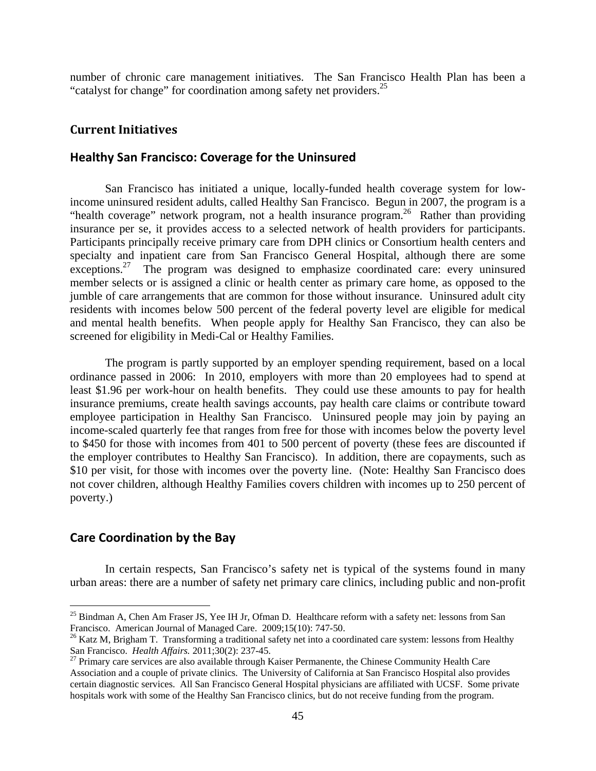number of chronic care management initiatives. The San Francisco Health Plan has been a "catalyst for change" for coordination among safety net providers.<sup>25</sup>

## **Current Initiatives**

#### **Healthy San Francisco: Coverage for the Uninsured**

San Francisco has initiated a unique, locally-funded health coverage system for lowincome uninsured resident adults, called Healthy San Francisco. Begun in 2007, the program is a "health coverage" network program, not a health insurance program.<sup>26</sup> Rather than providing insurance per se, it provides access to a selected network of health providers for participants. Participants principally receive primary care from DPH clinics or Consortium health centers and specialty and inpatient care from San Francisco General Hospital, although there are some exceptions.<sup>27</sup> The program was designed to emphasize coordinated care: every uninsured member selects or is assigned a clinic or health center as primary care home, as opposed to the jumble of care arrangements that are common for those without insurance. Uninsured adult city residents with incomes below 500 percent of the federal poverty level are eligible for medical and mental health benefits. When people apply for Healthy San Francisco, they can also be screened for eligibility in Medi-Cal or Healthy Families.

The program is partly supported by an employer spending requirement, based on a local ordinance passed in 2006: In 2010, employers with more than 20 employees had to spend at least \$1.96 per work-hour on health benefits. They could use these amounts to pay for health insurance premiums, create health savings accounts, pay health care claims or contribute toward employee participation in Healthy San Francisco. Uninsured people may join by paying an income-scaled quarterly fee that ranges from free for those with incomes below the poverty level to \$450 for those with incomes from 401 to 500 percent of poverty (these fees are discounted if the employer contributes to Healthy San Francisco). In addition, there are copayments, such as \$10 per visit, for those with incomes over the poverty line. (Note: Healthy San Francisco does not cover children, although Healthy Families covers children with incomes up to 250 percent of poverty.)

## **Care Coordination by the Bay**

 $\overline{a}$ 

In certain respects, San Francisco's safety net is typical of the systems found in many urban areas: there are a number of safety net primary care clinics, including public and non-profit

<sup>&</sup>lt;sup>25</sup> Bindman A, Chen Am Fraser JS, Yee IH Jr, Ofman D. Healthcare reform with a safety net: lessons from San Francisco. American Journal of Managed Care. 2009;15(10): 747-50.

<sup>&</sup>lt;sup>26</sup> Katz M, Brigham T. Transforming a traditional safety net into a coordinated care system: lessons from Healthy San Francisco. *Health Affairs.* 2011;30(2): 237-45.<br><sup>27</sup> Primary care services are also available through Kaiser Permanente, the Chinese Community Health Care

Association and a couple of private clinics. The University of California at San Francisco Hospital also provides certain diagnostic services. All San Francisco General Hospital physicians are affiliated with UCSF. Some private hospitals work with some of the Healthy San Francisco clinics, but do not receive funding from the program.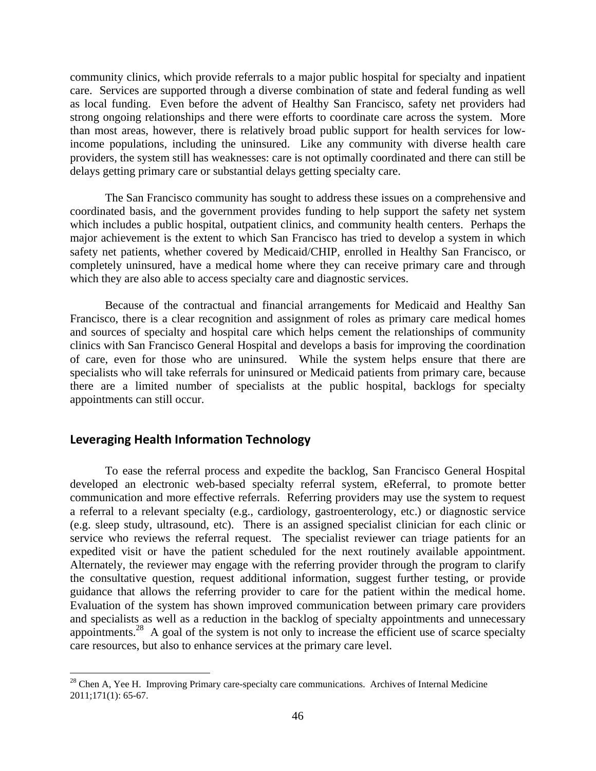community clinics, which provide referrals to a major public hospital for specialty and inpatient care. Services are supported through a diverse combination of state and federal funding as well as local funding. Even before the advent of Healthy San Francisco, safety net providers had strong ongoing relationships and there were efforts to coordinate care across the system. More than most areas, however, there is relatively broad public support for health services for lowincome populations, including the uninsured. Like any community with diverse health care providers, the system still has weaknesses: care is not optimally coordinated and there can still be delays getting primary care or substantial delays getting specialty care.

The San Francisco community has sought to address these issues on a comprehensive and coordinated basis, and the government provides funding to help support the safety net system which includes a public hospital, outpatient clinics, and community health centers. Perhaps the major achievement is the extent to which San Francisco has tried to develop a system in which safety net patients, whether covered by Medicaid/CHIP, enrolled in Healthy San Francisco, or completely uninsured, have a medical home where they can receive primary care and through which they are also able to access specialty care and diagnostic services.

Because of the contractual and financial arrangements for Medicaid and Healthy San Francisco, there is a clear recognition and assignment of roles as primary care medical homes and sources of specialty and hospital care which helps cement the relationships of community clinics with San Francisco General Hospital and develops a basis for improving the coordination of care, even for those who are uninsured. While the system helps ensure that there are specialists who will take referrals for uninsured or Medicaid patients from primary care, because there are a limited number of specialists at the public hospital, backlogs for specialty appointments can still occur.

## **Leveraging Health Information Technology**

 $\overline{a}$ 

To ease the referral process and expedite the backlog, San Francisco General Hospital developed an electronic web-based specialty referral system, eReferral, to promote better communication and more effective referrals. Referring providers may use the system to request a referral to a relevant specialty (e.g., cardiology, gastroenterology, etc.) or diagnostic service (e.g. sleep study, ultrasound, etc). There is an assigned specialist clinician for each clinic or service who reviews the referral request. The specialist reviewer can triage patients for an expedited visit or have the patient scheduled for the next routinely available appointment. Alternately, the reviewer may engage with the referring provider through the program to clarify the consultative question, request additional information, suggest further testing, or provide guidance that allows the referring provider to care for the patient within the medical home. Evaluation of the system has shown improved communication between primary care providers and specialists as well as a reduction in the backlog of specialty appointments and unnecessary appointments.28 A goal of the system is not only to increase the efficient use of scarce specialty care resources, but also to enhance services at the primary care level.

 $28$  Chen A, Yee H. Improving Primary care-specialty care communications. Archives of Internal Medicine 2011;171(1): 65-67.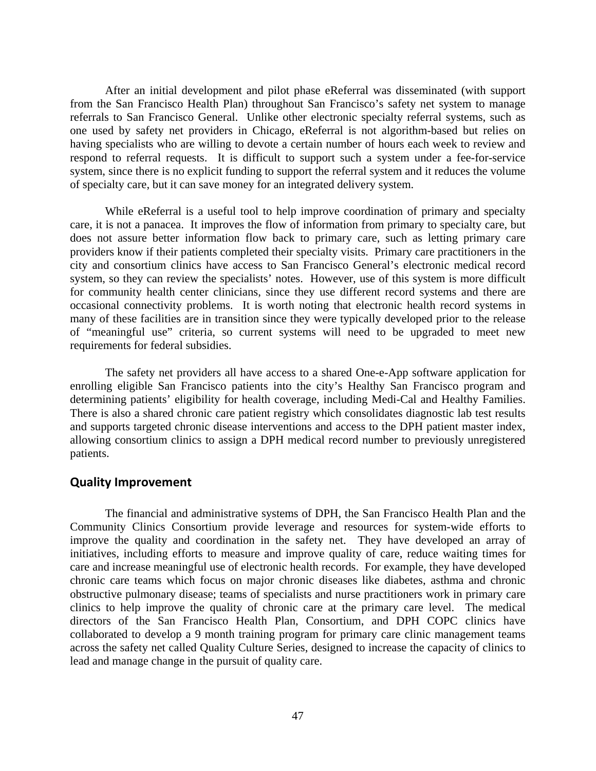After an initial development and pilot phase eReferral was disseminated (with support from the San Francisco Health Plan) throughout San Francisco's safety net system to manage referrals to San Francisco General. Unlike other electronic specialty referral systems, such as one used by safety net providers in Chicago, eReferral is not algorithm-based but relies on having specialists who are willing to devote a certain number of hours each week to review and respond to referral requests. It is difficult to support such a system under a fee-for-service system, since there is no explicit funding to support the referral system and it reduces the volume of specialty care, but it can save money for an integrated delivery system.

While eReferral is a useful tool to help improve coordination of primary and specialty care, it is not a panacea. It improves the flow of information from primary to specialty care, but does not assure better information flow back to primary care, such as letting primary care providers know if their patients completed their specialty visits. Primary care practitioners in the city and consortium clinics have access to San Francisco General's electronic medical record system, so they can review the specialists' notes. However, use of this system is more difficult for community health center clinicians, since they use different record systems and there are occasional connectivity problems. It is worth noting that electronic health record systems in many of these facilities are in transition since they were typically developed prior to the release of "meaningful use" criteria, so current systems will need to be upgraded to meet new requirements for federal subsidies.

The safety net providers all have access to a shared One-e-App software application for enrolling eligible San Francisco patients into the city's Healthy San Francisco program and determining patients' eligibility for health coverage, including Medi-Cal and Healthy Families. There is also a shared chronic care patient registry which consolidates diagnostic lab test results and supports targeted chronic disease interventions and access to the DPH patient master index, allowing consortium clinics to assign a DPH medical record number to previously unregistered patients.

#### **Quality Improvement**

The financial and administrative systems of DPH, the San Francisco Health Plan and the Community Clinics Consortium provide leverage and resources for system-wide efforts to improve the quality and coordination in the safety net. They have developed an array of initiatives, including efforts to measure and improve quality of care, reduce waiting times for care and increase meaningful use of electronic health records. For example, they have developed chronic care teams which focus on major chronic diseases like diabetes, asthma and chronic obstructive pulmonary disease; teams of specialists and nurse practitioners work in primary care clinics to help improve the quality of chronic care at the primary care level. The medical directors of the San Francisco Health Plan, Consortium, and DPH COPC clinics have collaborated to develop a 9 month training program for primary care clinic management teams across the safety net called Quality Culture Series, designed to increase the capacity of clinics to lead and manage change in the pursuit of quality care.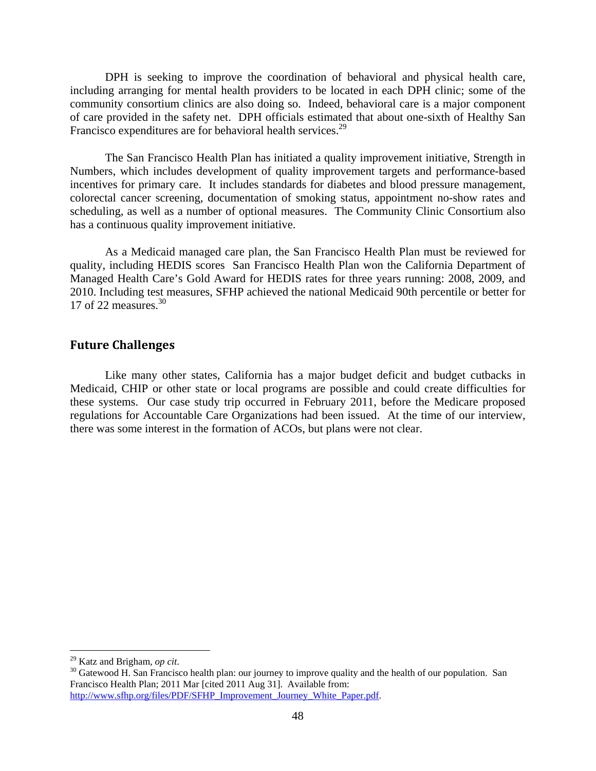DPH is seeking to improve the coordination of behavioral and physical health care, including arranging for mental health providers to be located in each DPH clinic; some of the community consortium clinics are also doing so. Indeed, behavioral care is a major component of care provided in the safety net. DPH officials estimated that about one-sixth of Healthy San Francisco expenditures are for behavioral health services.<sup>29</sup>

The San Francisco Health Plan has initiated a quality improvement initiative, Strength in Numbers, which includes development of quality improvement targets and performance-based incentives for primary care. It includes standards for diabetes and blood pressure management, colorectal cancer screening, documentation of smoking status, appointment no-show rates and scheduling, as well as a number of optional measures. The Community Clinic Consortium also has a continuous quality improvement initiative.

As a Medicaid managed care plan, the San Francisco Health Plan must be reviewed for quality, including HEDIS scores San Francisco Health Plan won the California Department of Managed Health Care's Gold Award for HEDIS rates for three years running: 2008, 2009, and 2010. Including test measures, SFHP achieved the national Medicaid 90th percentile or better for 17 of 22 measures. $30$ 

## **Future Challenges**

Like many other states, California has a major budget deficit and budget cutbacks in Medicaid, CHIP or other state or local programs are possible and could create difficulties for these systems. Our case study trip occurred in February 2011, before the Medicare proposed regulations for Accountable Care Organizations had been issued. At the time of our interview, there was some interest in the formation of ACOs, but plans were not clear.

<sup>&</sup>lt;sup>29</sup> Katz and Brigham, *op cit.* 

<sup>&</sup>lt;sup>30</sup> Gatewood H. San Francisco health plan: our journey to improve quality and the health of our population. San Francisco Health Plan; 2011 Mar [cited 2011 Aug 31]. Available from: http://www.sfhp.org/files/PDF/SFHP\_Improvement\_Journey\_White\_Paper.pdf.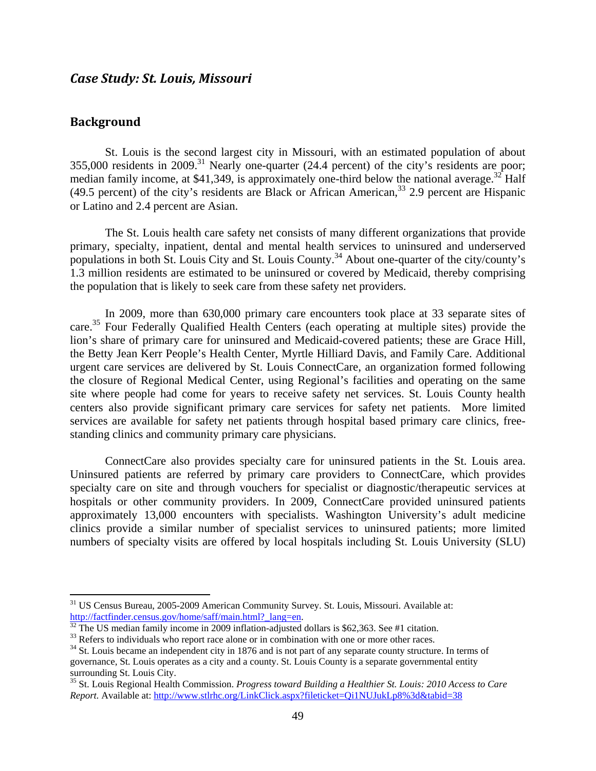## *Case Study: St. Louis, Missouri*

## **Background**

1

St. Louis is the second largest city in Missouri, with an estimated population of about 355,000 residents in 2009.<sup>31</sup> Nearly one-quarter (24.4 percent) of the city's residents are poor; median family income, at \$41,349, is approximately one-third below the national average.<sup>32</sup> Half (49.5 percent) of the city's residents are Black or African American,  $33$  2.9 percent are Hispanic or Latino and 2.4 percent are Asian.

The St. Louis health care safety net consists of many different organizations that provide primary, specialty, inpatient, dental and mental health services to uninsured and underserved populations in both St. Louis City and St. Louis County.34 About one-quarter of the city/county's 1.3 million residents are estimated to be uninsured or covered by Medicaid, thereby comprising the population that is likely to seek care from these safety net providers.

In 2009, more than 630,000 primary care encounters took place at 33 separate sites of care.<sup>35</sup> Four Federally Qualified Health Centers (each operating at multiple sites) provide the lion's share of primary care for uninsured and Medicaid-covered patients; these are Grace Hill, the Betty Jean Kerr People's Health Center, Myrtle Hilliard Davis, and Family Care. Additional urgent care services are delivered by St. Louis ConnectCare, an organization formed following the closure of Regional Medical Center, using Regional's facilities and operating on the same site where people had come for years to receive safety net services. St. Louis County health centers also provide significant primary care services for safety net patients. More limited services are available for safety net patients through hospital based primary care clinics, freestanding clinics and community primary care physicians.

ConnectCare also provides specialty care for uninsured patients in the St. Louis area. Uninsured patients are referred by primary care providers to ConnectCare, which provides specialty care on site and through vouchers for specialist or diagnostic/therapeutic services at hospitals or other community providers. In 2009, ConnectCare provided uninsured patients approximately 13,000 encounters with specialists. Washington University's adult medicine clinics provide a similar number of specialist services to uninsured patients; more limited numbers of specialty visits are offered by local hospitals including St. Louis University (SLU)

<sup>&</sup>lt;sup>31</sup> US Census Bureau, 2005-2009 American Community Survey. St. Louis, Missouri. Available at:<br>
<u>http://factfinder.census.gov/home/saff/main.html?\_lang=en</u>.<br>
<sup>32</sup> The US medien fam:1

 $\frac{32}{32}$  The US median family income in 2009 inflation-adjusted dollars is \$62,363. See #1 citation.<br><sup>33</sup> Refers to individuals who report race alone or in combination with one or more other races.

<sup>&</sup>lt;sup>34</sup> St. Louis became an independent city in 1876 and is not part of any separate county structure. In terms of governance, St. Louis operates as a city and a county. St. Louis County is a separate governmental entity surrounding St. Louis City.

<sup>35</sup> St. Louis Regional Health Commission. *Progress toward Building a Healthier St. Louis: 2010 Access to Care Report.* Available at: http://www.stlrhc.org/LinkClick.aspx?fileticket=Qi1NUJukLp8%3d&tabid=38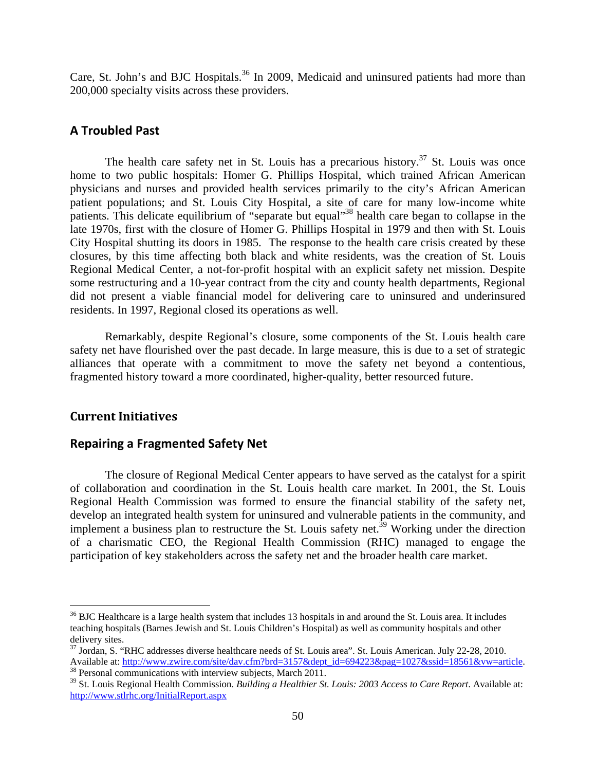Care, St. John's and BJC Hospitals.<sup>36</sup> In 2009, Medicaid and uninsured patients had more than 200,000 specialty visits across these providers.

## **A Troubled Past**

The health care safety net in St. Louis has a precarious history.<sup>37</sup> St. Louis was once home to two public hospitals: Homer G. Phillips Hospital, which trained African American physicians and nurses and provided health services primarily to the city's African American patient populations; and St. Louis City Hospital, a site of care for many low-income white patients. This delicate equilibrium of "separate but equal"38 health care began to collapse in the late 1970s, first with the closure of Homer G. Phillips Hospital in 1979 and then with St. Louis City Hospital shutting its doors in 1985. The response to the health care crisis created by these closures, by this time affecting both black and white residents, was the creation of St. Louis Regional Medical Center, a not-for-profit hospital with an explicit safety net mission. Despite some restructuring and a 10-year contract from the city and county health departments, Regional did not present a viable financial model for delivering care to uninsured and underinsured residents. In 1997, Regional closed its operations as well.

Remarkably, despite Regional's closure, some components of the St. Louis health care safety net have flourished over the past decade. In large measure, this is due to a set of strategic alliances that operate with a commitment to move the safety net beyond a contentious, fragmented history toward a more coordinated, higher-quality, better resourced future.

## **Current Initiatives**

1

## **Repairing a Fragmented Safety Net**

The closure of Regional Medical Center appears to have served as the catalyst for a spirit of collaboration and coordination in the St. Louis health care market. In 2001, the St. Louis Regional Health Commission was formed to ensure the financial stability of the safety net, develop an integrated health system for uninsured and vulnerable patients in the community, and implement a business plan to restructure the St. Louis safety net.<sup>39</sup> Working under the direction of a charismatic CEO, the Regional Health Commission (RHC) managed to engage the participation of key stakeholders across the safety net and the broader health care market.

 $36$  BJC Healthcare is a large health system that includes 13 hospitals in and around the St. Louis area. It includes teaching hospitals (Barnes Jewish and St. Louis Children's Hospital) as well as community hospitals and other delivery sites.

<sup>&</sup>lt;sup>37</sup> Jordan, S. "RHC addresses diverse healthcare needs of St. Louis area". St. Louis American. July 22-28, 2010. Available at: http://www.zwire.com/site/dav.cfm?brd=3157&dept\_id=694223&pag=1027&ssid=18561&vw=article. <sup>38</sup> Personal communications with interview subjects, March 2011.

<sup>39</sup> St. Louis Regional Health Commission. *Building a Healthier St. Louis: 2003 Access to Care Report*. Available at: http://www.stlrhc.org/InitialReport.aspx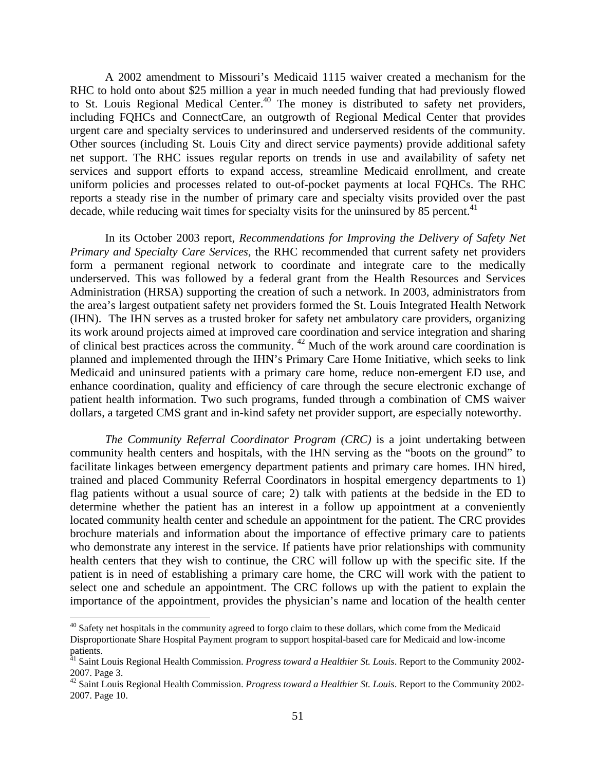A 2002 amendment to Missouri's Medicaid 1115 waiver created a mechanism for the RHC to hold onto about \$25 million a year in much needed funding that had previously flowed to St. Louis Regional Medical Center.<sup>40</sup> The money is distributed to safety net providers, including FQHCs and ConnectCare, an outgrowth of Regional Medical Center that provides urgent care and specialty services to underinsured and underserved residents of the community. Other sources (including St. Louis City and direct service payments) provide additional safety net support. The RHC issues regular reports on trends in use and availability of safety net services and support efforts to expand access, streamline Medicaid enrollment, and create uniform policies and processes related to out-of-pocket payments at local FQHCs. The RHC reports a steady rise in the number of primary care and specialty visits provided over the past decade, while reducing wait times for specialty visits for the uninsured by 85 percent.<sup>41</sup>

In its October 2003 report, *Recommendations for Improving the Delivery of Safety Net Primary and Specialty Care Services,* the RHC recommended that current safety net providers form a permanent regional network to coordinate and integrate care to the medically underserved. This was followed by a federal grant from the Health Resources and Services Administration (HRSA) supporting the creation of such a network. In 2003, administrators from the area's largest outpatient safety net providers formed the St. Louis Integrated Health Network (IHN). The IHN serves as a trusted broker for safety net ambulatory care providers, organizing its work around projects aimed at improved care coordination and service integration and sharing of clinical best practices across the community. 42 Much of the work around care coordination is planned and implemented through the IHN's Primary Care Home Initiative, which seeks to link Medicaid and uninsured patients with a primary care home, reduce non-emergent ED use, and enhance coordination, quality and efficiency of care through the secure electronic exchange of patient health information. Two such programs, funded through a combination of CMS waiver dollars, a targeted CMS grant and in-kind safety net provider support, are especially noteworthy.

*The Community Referral Coordinator Program (CRC)* is a joint undertaking between community health centers and hospitals, with the IHN serving as the "boots on the ground" to facilitate linkages between emergency department patients and primary care homes. IHN hired, trained and placed Community Referral Coordinators in hospital emergency departments to 1) flag patients without a usual source of care; 2) talk with patients at the bedside in the ED to determine whether the patient has an interest in a follow up appointment at a conveniently located community health center and schedule an appointment for the patient. The CRC provides brochure materials and information about the importance of effective primary care to patients who demonstrate any interest in the service. If patients have prior relationships with community health centers that they wish to continue, the CRC will follow up with the specific site. If the patient is in need of establishing a primary care home, the CRC will work with the patient to select one and schedule an appointment. The CRC follows up with the patient to explain the importance of the appointment, provides the physician's name and location of the health center

<u>.</u>

<sup>&</sup>lt;sup>40</sup> Safety net hospitals in the community agreed to forgo claim to these dollars, which come from the Medicaid Disproportionate Share Hospital Payment program to support hospital-based care for Medicaid and low-income patients.

<sup>&</sup>lt;sup>41</sup> Saint Louis Regional Health Commission. *Progress toward a Healthier St. Louis*. Report to the Community 2002-2007. Page 3.

<sup>42</sup> Saint Louis Regional Health Commission. *Progress toward a Healthier St. Louis*. Report to the Community 2002- 2007. Page 10.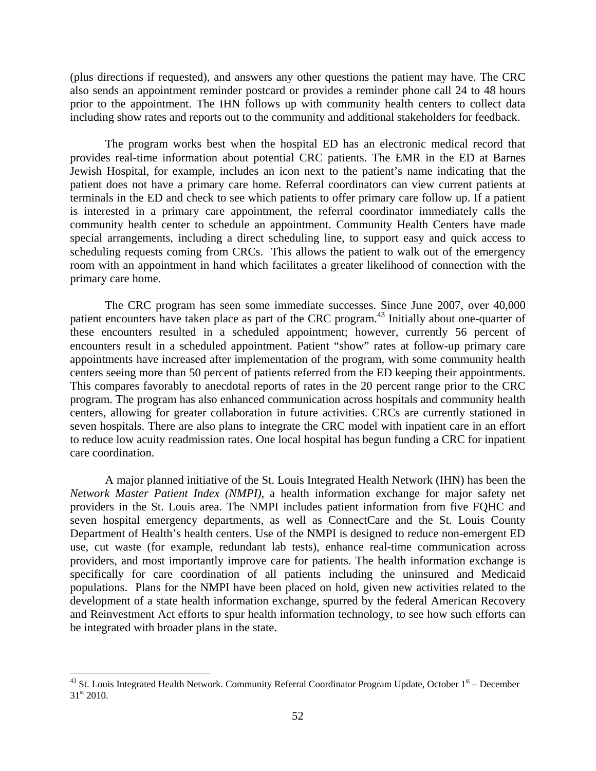(plus directions if requested), and answers any other questions the patient may have. The CRC also sends an appointment reminder postcard or provides a reminder phone call 24 to 48 hours prior to the appointment. The IHN follows up with community health centers to collect data including show rates and reports out to the community and additional stakeholders for feedback.

The program works best when the hospital ED has an electronic medical record that provides real-time information about potential CRC patients. The EMR in the ED at Barnes Jewish Hospital, for example, includes an icon next to the patient's name indicating that the patient does not have a primary care home. Referral coordinators can view current patients at terminals in the ED and check to see which patients to offer primary care follow up. If a patient is interested in a primary care appointment, the referral coordinator immediately calls the community health center to schedule an appointment. Community Health Centers have made special arrangements, including a direct scheduling line, to support easy and quick access to scheduling requests coming from CRCs. This allows the patient to walk out of the emergency room with an appointment in hand which facilitates a greater likelihood of connection with the primary care home.

The CRC program has seen some immediate successes. Since June 2007, over 40,000 patient encounters have taken place as part of the CRC program.<sup>43</sup> Initially about one-quarter of these encounters resulted in a scheduled appointment; however, currently 56 percent of encounters result in a scheduled appointment. Patient "show" rates at follow-up primary care appointments have increased after implementation of the program, with some community health centers seeing more than 50 percent of patients referred from the ED keeping their appointments. This compares favorably to anecdotal reports of rates in the 20 percent range prior to the CRC program. The program has also enhanced communication across hospitals and community health centers, allowing for greater collaboration in future activities. CRCs are currently stationed in seven hospitals. There are also plans to integrate the CRC model with inpatient care in an effort to reduce low acuity readmission rates. One local hospital has begun funding a CRC for inpatient care coordination.

A major planned initiative of the St. Louis Integrated Health Network (IHN) has been the *Network Master Patient Index (NMPI),* a health information exchange for major safety net providers in the St. Louis area. The NMPI includes patient information from five FQHC and seven hospital emergency departments, as well as ConnectCare and the St. Louis County Department of Health's health centers. Use of the NMPI is designed to reduce non-emergent ED use, cut waste (for example, redundant lab tests), enhance real-time communication across providers, and most importantly improve care for patients. The health information exchange is specifically for care coordination of all patients including the uninsured and Medicaid populations. Plans for the NMPI have been placed on hold, given new activities related to the development of a state health information exchange, spurred by the federal American Recovery and Reinvestment Act efforts to spur health information technology, to see how such efforts can be integrated with broader plans in the state.

 $\overline{a}$ 

 $43$  St. Louis Integrated Health Network. Community Referral Coordinator Program Update, October  $1<sup>st</sup>$  – December 31<sup>st</sup> 2010.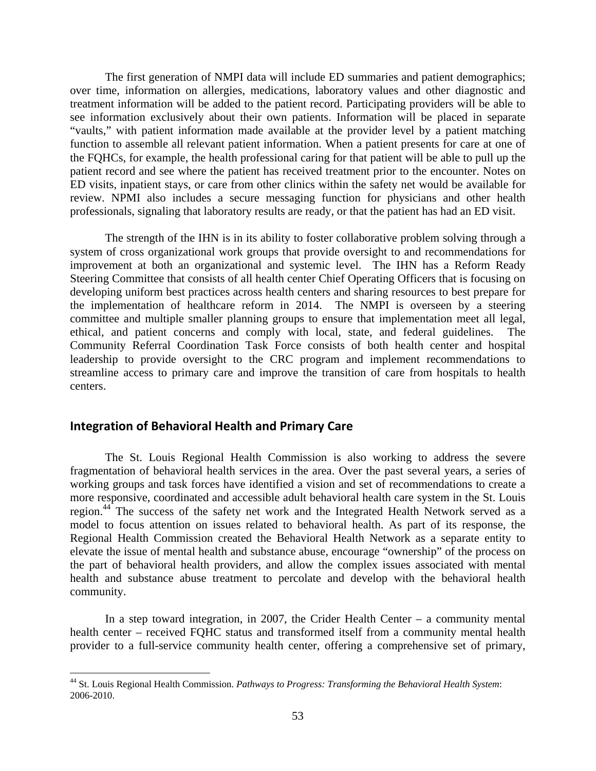The first generation of NMPI data will include ED summaries and patient demographics; over time, information on allergies, medications, laboratory values and other diagnostic and treatment information will be added to the patient record. Participating providers will be able to see information exclusively about their own patients. Information will be placed in separate "vaults," with patient information made available at the provider level by a patient matching function to assemble all relevant patient information. When a patient presents for care at one of the FQHCs, for example, the health professional caring for that patient will be able to pull up the patient record and see where the patient has received treatment prior to the encounter. Notes on ED visits, inpatient stays, or care from other clinics within the safety net would be available for review. NPMI also includes a secure messaging function for physicians and other health professionals, signaling that laboratory results are ready, or that the patient has had an ED visit.

The strength of the IHN is in its ability to foster collaborative problem solving through a system of cross organizational work groups that provide oversight to and recommendations for improvement at both an organizational and systemic level. The IHN has a Reform Ready Steering Committee that consists of all health center Chief Operating Officers that is focusing on developing uniform best practices across health centers and sharing resources to best prepare for the implementation of healthcare reform in 2014. The NMPI is overseen by a steering committee and multiple smaller planning groups to ensure that implementation meet all legal, ethical, and patient concerns and comply with local, state, and federal guidelines. The Community Referral Coordination Task Force consists of both health center and hospital leadership to provide oversight to the CRC program and implement recommendations to streamline access to primary care and improve the transition of care from hospitals to health centers.

## **Integration of Behavioral Health and Primary Care**

 $\overline{a}$ 

The St. Louis Regional Health Commission is also working to address the severe fragmentation of behavioral health services in the area. Over the past several years, a series of working groups and task forces have identified a vision and set of recommendations to create a more responsive, coordinated and accessible adult behavioral health care system in the St. Louis region.<sup>44</sup> The success of the safety net work and the Integrated Health Network served as a model to focus attention on issues related to behavioral health. As part of its response, the Regional Health Commission created the Behavioral Health Network as a separate entity to elevate the issue of mental health and substance abuse, encourage "ownership" of the process on the part of behavioral health providers, and allow the complex issues associated with mental health and substance abuse treatment to percolate and develop with the behavioral health community.

In a step toward integration, in 2007, the Crider Health Center  $-$  a community mental health center – received FQHC status and transformed itself from a community mental health provider to a full-service community health center, offering a comprehensive set of primary,

<sup>44</sup> St. Louis Regional Health Commission. *Pathways to Progress: Transforming the Behavioral Health System*: 2006-2010.